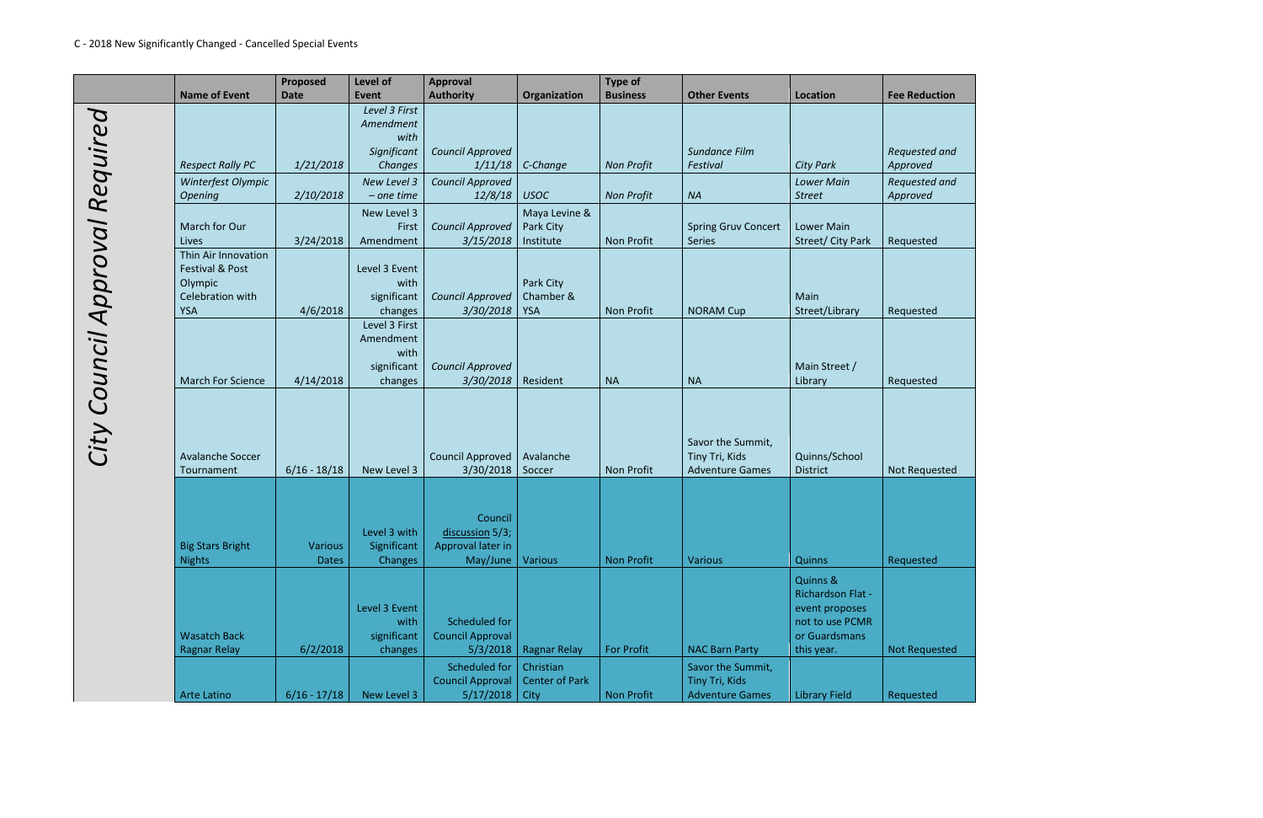|                       | <b>Name of Event</b>                                                                           | <b>Proposed</b><br><b>Date</b> | Level of<br>Event                                            | <b>Approval</b><br><b>Authority</b>                          | Organization                               | <b>Type of</b><br><b>Business</b> | <b>Other Events</b>                                           | Location                                                                                          | <b>Fee Reduction</b>      |
|-----------------------|------------------------------------------------------------------------------------------------|--------------------------------|--------------------------------------------------------------|--------------------------------------------------------------|--------------------------------------------|-----------------------------------|---------------------------------------------------------------|---------------------------------------------------------------------------------------------------|---------------------------|
| Required              | <b>Respect Rally PC</b>                                                                        | 1/21/2018                      | Level 3 First<br>Amendment<br>with<br>Significant<br>Changes | <b>Council Approved</b><br>1/11/18                           | C-Change                                   | <b>Non Profit</b>                 | Sundance Film<br>Festival                                     | <b>City Park</b>                                                                                  | Requested and<br>Approved |
|                       | Winterfest Olympic<br><b>Opening</b>                                                           | 2/10/2018                      | New Level 3<br>$-$ one time                                  | <b>Council Approved</b><br>12/8/18                           | <b>USOC</b>                                | <b>Non Profit</b>                 | <b>NA</b>                                                     | <b>Lower Main</b><br><b>Street</b>                                                                | Requested and<br>Approved |
|                       | March for Our<br>Lives                                                                         | 3/24/2018                      | New Level 3<br>First<br>Amendment                            | <b>Council Approved</b><br>3/15/2018                         | Maya Levine &<br>Park City<br>Institute    | Non Profit                        | <b>Spring Gruv Concert</b><br><b>Series</b>                   | <b>Lower Main</b><br>Street/ City Park                                                            | Requested                 |
|                       | Thin Air Innovation<br><b>Festival &amp; Post</b><br>Olympic<br>Celebration with<br><b>YSA</b> | 4/6/2018                       | Level 3 Event<br>with<br>significant<br>changes              | <b>Council Approved</b><br>3/30/2018                         | Park City<br>Chamber &<br><b>YSA</b>       | <b>Non Profit</b>                 | <b>NORAM Cup</b>                                              | Main<br>Street/Library                                                                            | Requested                 |
|                       | <b>March For Science</b>                                                                       | 4/14/2018                      | Level 3 First<br>Amendment<br>with<br>significant<br>changes | <b>Council Approved</b><br>3/30/2018                         | Resident                                   | <b>NA</b>                         | <b>NA</b>                                                     | Main Street /<br>Library                                                                          | Requested                 |
| City Council Approval | <b>Avalanche Soccer</b><br>Tournament                                                          | $6/16 - 18/18$                 | New Level 3                                                  | <b>Council Approved</b><br>3/30/2018                         | Avalanche<br>Soccer                        | <b>Non Profit</b>                 | Savor the Summit,<br>Tiny Tri, Kids<br><b>Adventure Games</b> | Quinns/School<br><b>District</b>                                                                  | Not Requested             |
|                       | <b>Big Stars Bright</b><br><b>Nights</b>                                                       | <b>Various</b><br><b>Dates</b> | Level 3 with<br>Significant<br>Changes                       | Council<br>discussion 5/3;<br>Approval later in<br>May/June  | <b>Various</b>                             | <b>Non Profit</b>                 | <b>Various</b>                                                | Quinns                                                                                            | Requested                 |
|                       | <b>Wasatch Back</b><br><b>Ragnar Relay</b>                                                     | 6/2/2018                       | Level 3 Event<br>with<br>significant<br>changes              | Scheduled for<br><b>Council Approval</b><br>5/3/2018         | <b>Ragnar Relay</b>                        | <b>For Profit</b>                 | <b>NAC Barn Party</b>                                         | Quinns &<br>Richardson Flat -<br>event proposes<br>not to use PCMR<br>or Guardsmans<br>this year. | <b>Not Requested</b>      |
|                       | Arte Latino                                                                                    | $6/16 - 17/18$                 | New Level 3                                                  | <b>Scheduled for</b><br><b>Council Approval</b><br>5/17/2018 | Christian<br><b>Center of Park</b><br>City | <b>Non Profit</b>                 | Savor the Summit,<br>Tiny Tri, Kids<br><b>Adventure Games</b> | <b>Library Field</b>                                                                              | Requested                 |

| <b>uction</b>                                   |  |
|-------------------------------------------------|--|
|                                                 |  |
| d and!<br>$\mathcal{L}_{\mathcal{L}}$<br>$\Box$ |  |
| d and!<br>$\overline{t}$                        |  |
|                                                 |  |
| $\frac{1}{2}$                                   |  |
|                                                 |  |
| $\frac{1}{\log n}$                              |  |
|                                                 |  |
| $\frac{d}{dx}$                                  |  |
|                                                 |  |
|                                                 |  |
| uested                                          |  |
|                                                 |  |
|                                                 |  |
| đ                                               |  |
|                                                 |  |
|                                                 |  |
| <b>rested</b>                                   |  |
|                                                 |  |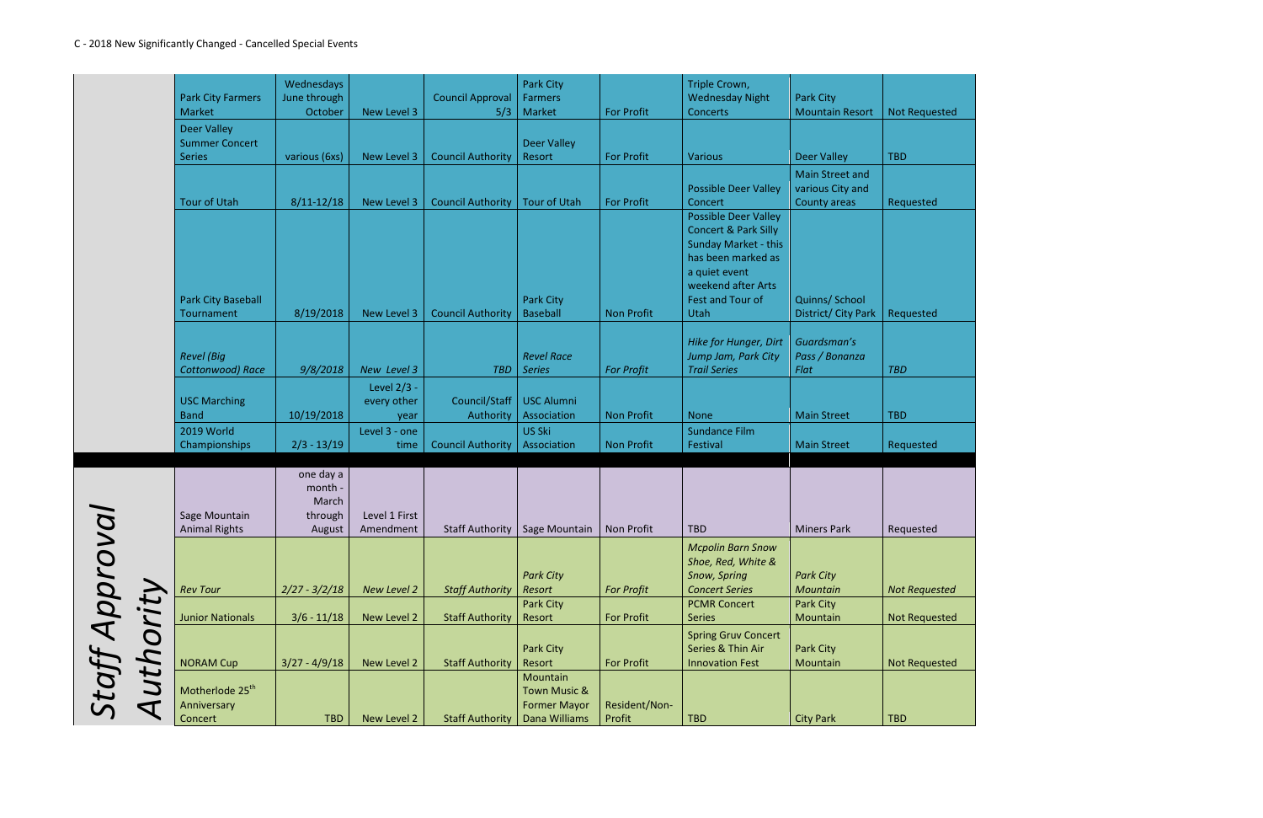|                                       |                                            | Wednesdays      |               |                          | Park City                           |                   | Triple Crown,                                     |                        |                      |
|---------------------------------------|--------------------------------------------|-----------------|---------------|--------------------------|-------------------------------------|-------------------|---------------------------------------------------|------------------------|----------------------|
|                                       | <b>Park City Farmers</b>                   | June through    |               | <b>Council Approval</b>  | <b>Farmers</b>                      |                   | <b>Wednesday Night</b>                            | Park City              |                      |
|                                       | Market                                     | October         | New Level 3   | 5/3                      | Market                              | <b>For Profit</b> | <b>Concerts</b>                                   | <b>Mountain Resort</b> | <b>Not Requested</b> |
|                                       | <b>Deer Valley</b>                         |                 |               |                          |                                     |                   |                                                   |                        |                      |
|                                       | <b>Summer Concert</b>                      |                 |               |                          | <b>Deer Valley</b>                  |                   |                                                   |                        |                      |
|                                       | <b>Series</b>                              | various (6xs)   | New Level 3   | <b>Council Authority</b> | Resort                              | <b>For Profit</b> | <b>Various</b>                                    | <b>Deer Valley</b>     | <b>TBD</b>           |
|                                       |                                            |                 |               |                          |                                     |                   |                                                   | Main Street and        |                      |
|                                       |                                            |                 |               |                          |                                     |                   | <b>Possible Deer Valley</b>                       | various City and       |                      |
|                                       | <b>Tour of Utah</b>                        | $8/11 - 12/18$  | New Level 3   | <b>Council Authority</b> | <b>Tour of Utah</b>                 | <b>For Profit</b> | Concert                                           | County areas           | Requested            |
|                                       |                                            |                 |               |                          |                                     |                   | <b>Possible Deer Valley</b>                       |                        |                      |
|                                       |                                            |                 |               |                          |                                     |                   | <b>Concert &amp; Park Silly</b>                   |                        |                      |
|                                       |                                            |                 |               |                          |                                     |                   | <b>Sunday Market - this</b><br>has been marked as |                        |                      |
|                                       |                                            |                 |               |                          |                                     |                   | a quiet event                                     |                        |                      |
|                                       |                                            |                 |               |                          |                                     |                   | weekend after Arts                                |                        |                      |
|                                       | <b>Park City Baseball</b>                  |                 |               |                          | Park City                           |                   | Fest and Tour of                                  | Quinns/ School         |                      |
|                                       | Tournament                                 | 8/19/2018       | New Level 3   | <b>Council Authority</b> | <b>Baseball</b>                     | <b>Non Profit</b> | Utah                                              | District/ City Park    | Requested            |
|                                       |                                            |                 |               |                          |                                     |                   |                                                   |                        |                      |
|                                       |                                            |                 |               |                          |                                     |                   | Hike for Hunger, Dirt                             | Guardsman's            |                      |
|                                       | <b>Revel</b> (Big                          |                 |               |                          | <b>Revel Race</b>                   |                   | Jump Jam, Park City                               | Pass / Bonanza         |                      |
|                                       | Cottonwood) Race                           | 9/8/2018        | New Level 3   | <b>TBD</b>               | <b>Series</b>                       | <b>For Profit</b> | <b>Trail Series</b>                               | Flat                   | <b>TBD</b>           |
|                                       |                                            |                 | Level 2/3 -   |                          |                                     |                   |                                                   |                        |                      |
|                                       | <b>USC Marching</b>                        |                 | every other   | Council/Staff            | <b>USC Alumni</b>                   |                   |                                                   |                        |                      |
|                                       | <b>Band</b>                                | 10/19/2018      | year          | Authority                | Association                         | <b>Non Profit</b> | <b>None</b>                                       | <b>Main Street</b>     | <b>TBD</b>           |
|                                       | 2019 World                                 |                 | Level 3 - one |                          | US Ski                              |                   | <b>Sundance Film</b>                              |                        |                      |
|                                       | Championships                              | $2/3 - 13/19$   | time          | <b>Council Authority</b> | Association                         | <b>Non Profit</b> | Festival                                          | <b>Main Street</b>     | Requested            |
|                                       |                                            | one day a       |               |                          |                                     |                   |                                                   |                        |                      |
|                                       |                                            | month -         |               |                          |                                     |                   |                                                   |                        |                      |
|                                       |                                            | March           |               |                          |                                     |                   |                                                   |                        |                      |
|                                       | Sage Mountain                              | through         | Level 1 First |                          |                                     |                   |                                                   |                        |                      |
|                                       | <b>Animal Rights</b>                       | August          | Amendment     |                          | Staff Authority   Sage Mountain     | Non Profit        | <b>TBD</b>                                        | <b>Miners Park</b>     | Requested            |
|                                       |                                            |                 |               |                          |                                     |                   | <b>Mcpolin Barn Snow</b>                          |                        |                      |
|                                       |                                            |                 |               |                          |                                     |                   | Shoe, Red, White &                                |                        |                      |
|                                       |                                            |                 |               |                          | <b>Park City</b>                    |                   | Snow, Spring                                      | <b>Park City</b>       |                      |
|                                       | <b>Rev Tour</b>                            | $2/27 - 3/2/18$ | New Level 2   | <b>Staff Authority</b>   | Resort                              | <b>For Profit</b> | <b>Concert Series</b>                             | Mountain               | <b>Not Requested</b> |
|                                       |                                            |                 |               |                          | Park City                           |                   | <b>PCMR Concert</b>                               | Park City              |                      |
|                                       | <b>Junior Nationals</b>                    | $3/6 - 11/18$   | New Level 2   | <b>Staff Authority</b>   | Resort                              | <b>For Profit</b> | <b>Series</b>                                     | Mountain               | <b>Not Requested</b> |
|                                       |                                            |                 |               |                          |                                     |                   | <b>Spring Gruv Concert</b>                        |                        |                      |
|                                       |                                            |                 |               |                          | Park City                           |                   | Series & Thin Air                                 | Park City              |                      |
| <b>Staff Appro</b><br><b>uthority</b> | <b>NORAM Cup</b>                           | $3/27 - 4/9/18$ | New Level 2   | <b>Staff Authority</b>   | Resort                              | <b>For Profit</b> | <b>Innovation Fest</b>                            | Mountain               | <b>Not Requested</b> |
|                                       |                                            |                 |               |                          | Mountain                            |                   |                                                   |                        |                      |
|                                       | Motherlode 25 <sup>th</sup><br>Anniversary |                 |               |                          | Town Music &<br><b>Former Mayor</b> | Resident/Non-     |                                                   |                        |                      |
|                                       | $\blacktriangleleft$<br>Concert            | <b>TBD</b>      | New Level 2   | <b>Staff Authority</b>   | Dana Williams                       | Profit            | <b>TBD</b>                                        | <b>City Park</b>       | <b>TBD</b>           |
|                                       |                                            |                 |               |                          |                                     |                   |                                                   |                        |                      |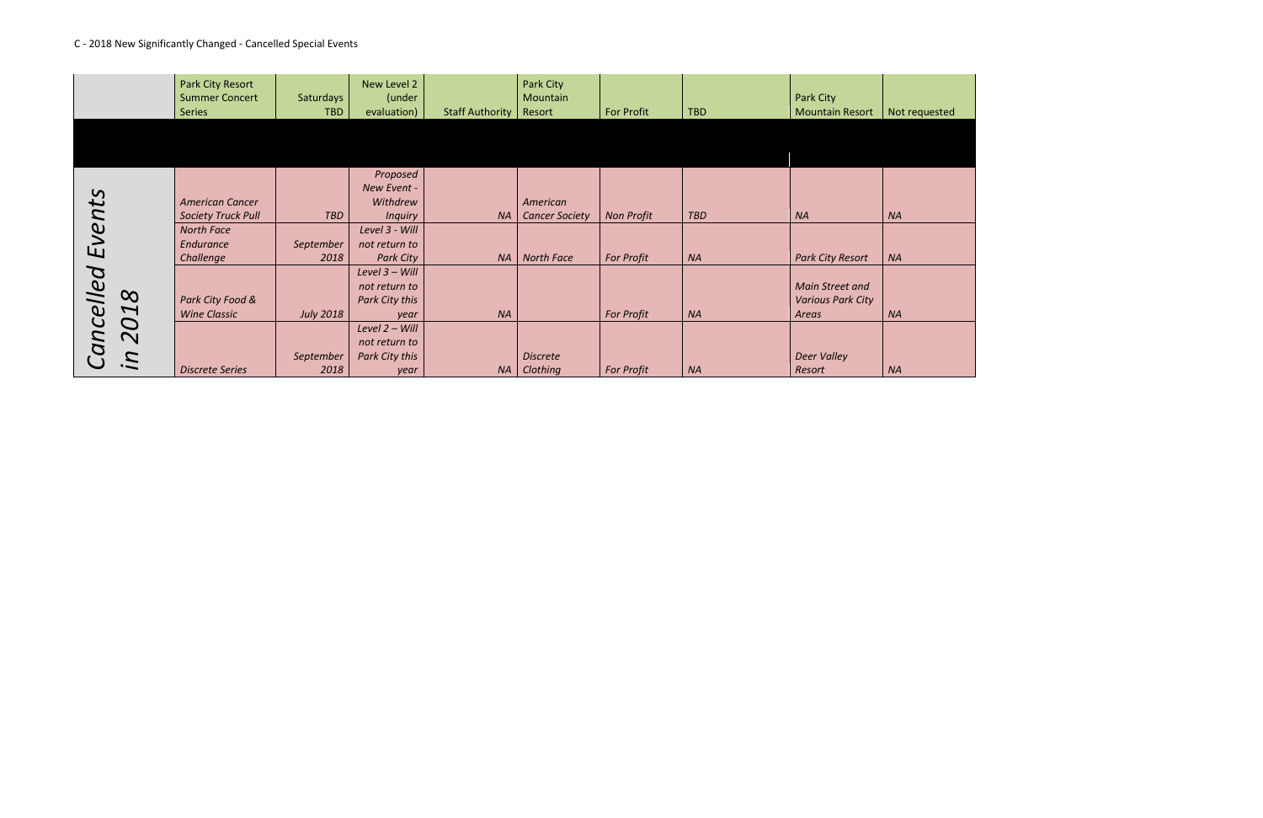# C - 2018 New Significantly Changed - Cancelled Special Events



|                                    | Park City Resort          |                  | New Level 2      |                        | Park City             |                   |            |                          |           |
|------------------------------------|---------------------------|------------------|------------------|------------------------|-----------------------|-------------------|------------|--------------------------|-----------|
|                                    | <b>Summer Concert</b>     | Saturdays        | (under           |                        | Mountain              |                   |            | Park City                |           |
|                                    | <b>Series</b>             | <b>TBD</b>       | evaluation)      | <b>Staff Authority</b> | Resort                | <b>For Profit</b> | <b>TBD</b> | <b>Mountain Resort</b>   | Not requ  |
|                                    |                           |                  |                  |                        |                       |                   |            |                          |           |
|                                    |                           |                  |                  |                        |                       |                   |            |                          |           |
|                                    |                           |                  |                  |                        |                       |                   |            |                          |           |
|                                    |                           |                  |                  |                        |                       |                   |            |                          |           |
|                                    |                           |                  | Proposed         |                        |                       |                   |            |                          |           |
|                                    |                           |                  | New Event -      |                        |                       |                   |            |                          |           |
|                                    | <b>American Cancer</b>    |                  | Withdrew         |                        | American              |                   |            |                          |           |
| Events                             | <b>Society Truck Pull</b> | <b>TBD</b>       | <b>Inquiry</b>   | <b>NA</b>              | <b>Cancer Society</b> | <b>Non Profit</b> | <b>TBD</b> | <b>NA</b>                | <b>NA</b> |
|                                    | <b>North Face</b>         |                  | Level 3 - Will   |                        |                       |                   |            |                          |           |
|                                    | Endurance                 | September        | not return to    |                        |                       |                   |            |                          |           |
|                                    | Challenge                 | 2018             | <b>Park City</b> | <b>NA</b>              | <b>North Face</b>     | For Profit        | <b>NA</b>  | <b>Park City Resort</b>  | <b>NA</b> |
|                                    |                           |                  | Level 3 - Will   |                        |                       |                   |            |                          |           |
|                                    |                           |                  | not return to    |                        |                       |                   |            | <b>Main Street and</b>   |           |
| $\infty$                           | Park City Food &          |                  | Park City this   |                        |                       |                   |            | <b>Various Park City</b> |           |
| Cancelled<br>$\blacktriangleright$ | <b>Wine Classic</b>       | <b>July 2018</b> | year             | <b>NA</b>              |                       | <b>For Profit</b> | <b>NA</b>  | Areas                    | <b>NA</b> |
| $\mathbf{C}$                       |                           |                  | Level 2 - Will   |                        |                       |                   |            |                          |           |
| $\mathbf N$                        |                           |                  | not return to    |                        |                       |                   |            |                          |           |
| $\ddot{a}$                         |                           | September        | Park City this   |                        | <b>Discrete</b>       |                   |            | <b>Deer Valley</b>       |           |
|                                    | <b>Discrete Series</b>    | 2018             | year             | <b>NA</b>              | Clothing              | <b>For Profit</b> | <b>NA</b>  | Resort                   | <b>NA</b> |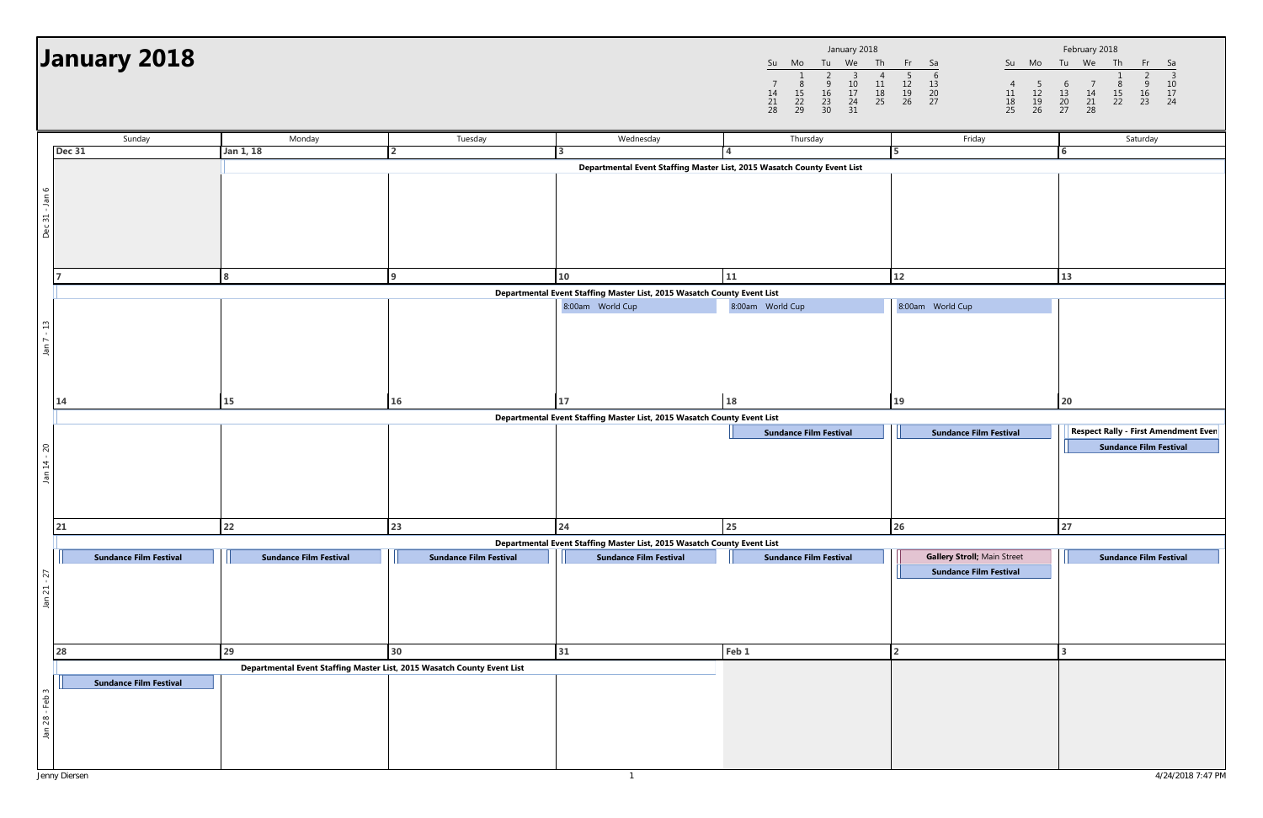|                |                     |                     | January 2018              |                |                |
|----------------|---------------------|---------------------|---------------------------|----------------|----------------|
| Su             | Mo                  | Tu                  | We                        | Th             | Fr             |
| 14<br>21<br>28 | 8<br>15<br>22<br>29 | q<br>16<br>23<br>30 | 3<br>10<br>17<br>24<br>31 | 11<br>18<br>25 | 12<br>19<br>26 |

|                               | January 2018                  |                                                                         |                               |                                                                         | January 2018<br>Tu We Th<br>Su Mo<br>$\overline{4}$<br>$\begin{array}{ccc} 2 & 3 \\ 9 & 10 \\ 16 & 17 \\ 23 & 24 \\ 30 & 31 \end{array}$<br>$\frac{8}{15}$<br>22<br>29<br>$\begin{array}{c} 11 \\ 18 \\ 25 \end{array}$<br>$\overline{7}$<br>$\frac{14}{21}$<br>28 | Fr 1<br>Su Mo<br>Sa<br>$\overline{4}$<br>$\begin{array}{c} 5 \\ 12 \\ 19 \\ 26 \end{array}$<br>$\begin{array}{c} 11 \\ 18 \\ 25 \end{array}$ | February 2018<br>Tu We Th<br>Fr<br>Sa<br>$10$<br>$\begin{smallmatrix}8\15\22\end{smallmatrix}$<br>$\overline{7}$<br>$\begin{array}{c} 6 \\ 13 \\ 20 \\ 27 \end{array}$<br>$\begin{array}{cc} 9 & 10 \\ 16 & 17 \\ 23 & 24 \end{array}$<br>$\begin{array}{c} 14 \\ 21 \\ 28 \end{array}$ |
|-------------------------------|-------------------------------|-------------------------------------------------------------------------|-------------------------------|-------------------------------------------------------------------------|--------------------------------------------------------------------------------------------------------------------------------------------------------------------------------------------------------------------------------------------------------------------|----------------------------------------------------------------------------------------------------------------------------------------------|-----------------------------------------------------------------------------------------------------------------------------------------------------------------------------------------------------------------------------------------------------------------------------------------|
|                               | Sunday                        | Monday                                                                  | Tuesday                       | Wednesday                                                               | Thursday                                                                                                                                                                                                                                                           | Friday                                                                                                                                       | Saturday                                                                                                                                                                                                                                                                                |
|                               | <b>Dec 31</b>                 | Jan 1, 18                                                               | $\overline{2}$                |                                                                         |                                                                                                                                                                                                                                                                    | <b>5</b>                                                                                                                                     | 6                                                                                                                                                                                                                                                                                       |
| Dec 31 - Jan 6                |                               |                                                                         |                               | Departmental Event Staffing Master List, 2015 Wasatch County Event List |                                                                                                                                                                                                                                                                    |                                                                                                                                              |                                                                                                                                                                                                                                                                                         |
|                               |                               | 8                                                                       | q                             | 10                                                                      | 11                                                                                                                                                                                                                                                                 | 12                                                                                                                                           | 13                                                                                                                                                                                                                                                                                      |
|                               |                               |                                                                         |                               | Departmental Event Staffing Master List, 2015 Wasatch County Event List |                                                                                                                                                                                                                                                                    |                                                                                                                                              |                                                                                                                                                                                                                                                                                         |
| $\mathfrak{Q}$<br>Jan $7 - 1$ |                               |                                                                         |                               | 8:00am World Cup                                                        | 8:00am World Cup                                                                                                                                                                                                                                                   | 8:00am World Cup                                                                                                                             |                                                                                                                                                                                                                                                                                         |
|                               | 14                            | 15                                                                      | 16                            | 17                                                                      | 18                                                                                                                                                                                                                                                                 | 19                                                                                                                                           | 20                                                                                                                                                                                                                                                                                      |
| Jan 14 - 20                   |                               |                                                                         |                               | Departmental Event Staffing Master List, 2015 Wasatch County Event List | <b>Sundance Film Festival</b>                                                                                                                                                                                                                                      | <b>Sundance Film Festival</b>                                                                                                                | <b>Respect Rally - First Amendment Ever</b><br><b>Sundance Film Festival</b>                                                                                                                                                                                                            |
|                               | 21                            | 22                                                                      | 23                            | 24                                                                      | 25                                                                                                                                                                                                                                                                 | 26                                                                                                                                           | 27                                                                                                                                                                                                                                                                                      |
|                               |                               |                                                                         |                               | Departmental Event Staffing Master List, 2015 Wasatch County Event List |                                                                                                                                                                                                                                                                    | Gallery Stroll; Main Street                                                                                                                  |                                                                                                                                                                                                                                                                                         |
| 27<br>Jan 21                  | <b>Sundance Film Festival</b> | <b>Sundance Film Festival</b>                                           | <b>Sundance Film Festival</b> | <b>Sundance Film Festival</b>                                           | <b>Sundance Film Festival</b>                                                                                                                                                                                                                                      | <b>Sundance Film Festival</b>                                                                                                                | <b>Sundance Film Festival</b>                                                                                                                                                                                                                                                           |
|                               | 28                            | 29                                                                      | 30 <sub>o</sub>               | 31                                                                      | Feb 1                                                                                                                                                                                                                                                              |                                                                                                                                              |                                                                                                                                                                                                                                                                                         |
| Jan 28 - Feb 3                | <b>Sundance Film Festival</b> | Departmental Event Staffing Master List, 2015 Wasatch County Event List |                               |                                                                         |                                                                                                                                                                                                                                                                    |                                                                                                                                              |                                                                                                                                                                                                                                                                                         |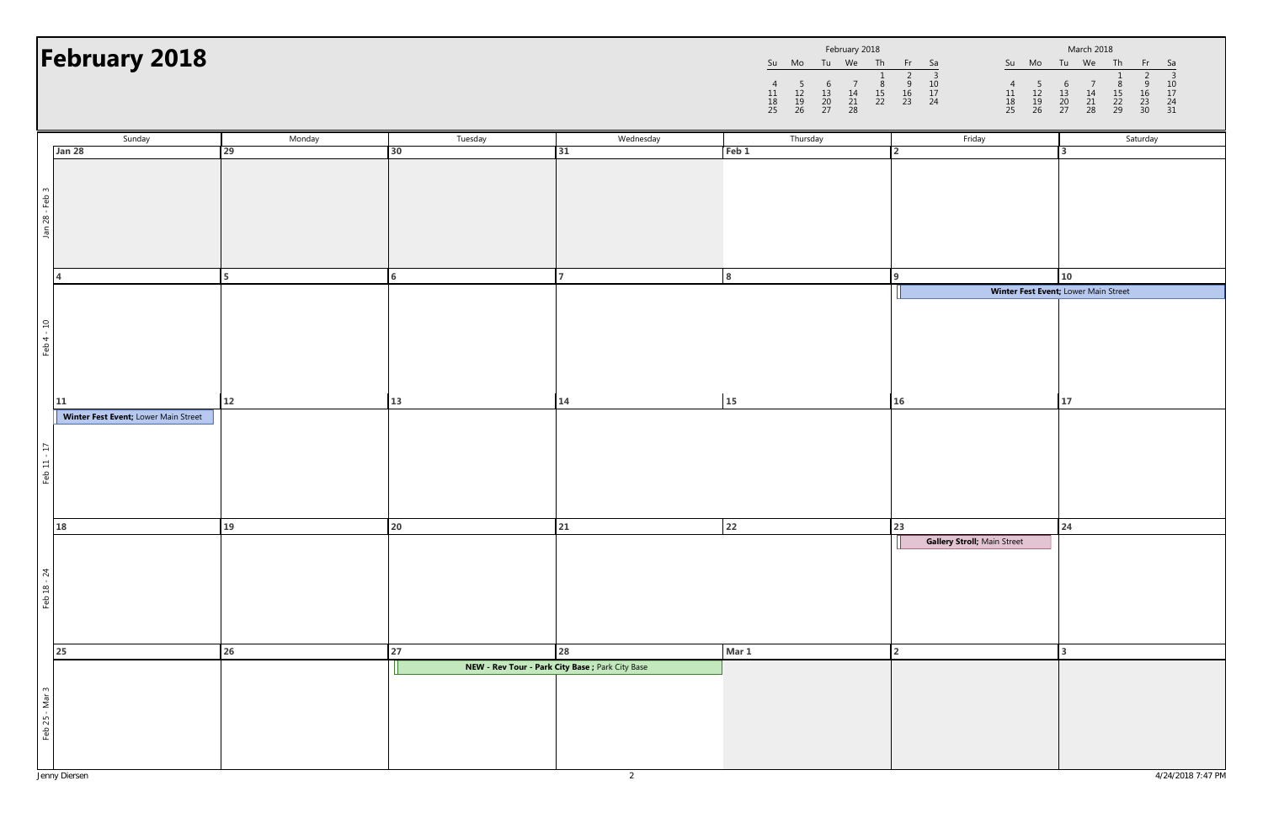|                |                |                     | February 2018  |               |               |
|----------------|----------------|---------------------|----------------|---------------|---------------|
| Su             | Mo             | Tu                  | We             | Th            | Fr            |
| 11<br>18<br>25 | 12<br>19<br>26 | 6<br>13<br>20<br>27 | 14<br>21<br>28 | 8<br>15<br>22 | 9<br>16<br>23 |

|                | February 2018                              |        |         |                                                  | February 2018<br>Su Mo Tu We Th Fr Sa<br>$\begin{array}{c} 1 \\ 8 \\ 15 \\ 22 \end{array}$<br>$\frac{5}{12}$<br>$\frac{12}{19}$<br>26<br>$\begin{array}{ccc} 6 & 7 \\ 13 & 14 \\ 20 & 21 \\ 27 & 28 \end{array}$<br>$\begin{array}{c} 11 \\ 18 \\ 25 \end{array}$ | $\begin{array}{c} 4 \\ 11 \\ 18 \\ 25 \end{array}$<br>$\begin{array}{ccc} 5 & 6 \\ 12 & 13 \\ 19 & 20 \\ 26 & 27 \end{array}$ | March 2018<br>Su Mo Tu We Th<br>Fr<br>- Sa<br>$\overline{3}$<br>$\frac{10}{17}$<br>$\frac{24}{31}$<br>$\begin{array}{c} 7 \\ 14 \\ 21 \\ 28 \end{array}$<br>$\frac{8}{15}$<br>22<br>29<br>$\begin{array}{c} 9 \\ 16 \\ 23 \\ 30 \end{array}$ |
|----------------|--------------------------------------------|--------|---------|--------------------------------------------------|-------------------------------------------------------------------------------------------------------------------------------------------------------------------------------------------------------------------------------------------------------------------|-------------------------------------------------------------------------------------------------------------------------------|----------------------------------------------------------------------------------------------------------------------------------------------------------------------------------------------------------------------------------------------|
|                | Sunday                                     | Monday | Tuesday | Wednesday                                        | Thursday                                                                                                                                                                                                                                                          | Friday                                                                                                                        | Saturday                                                                                                                                                                                                                                     |
|                | Jan 28                                     | 29     | 30      | 31                                               | Feb <sub>1</sub>                                                                                                                                                                                                                                                  | $\overline{2}$                                                                                                                | $\mathbf{z}$                                                                                                                                                                                                                                 |
| Jan 28 - Feb 3 |                                            |        |         |                                                  |                                                                                                                                                                                                                                                                   |                                                                                                                               |                                                                                                                                                                                                                                              |
|                | $\Delta$                                   |        | 6       |                                                  |                                                                                                                                                                                                                                                                   |                                                                                                                               | 10                                                                                                                                                                                                                                           |
| Feb 4 - 10     | 11<br>Winter Fest Event; Lower Main Street | 12     | 13      | 14                                               | 15                                                                                                                                                                                                                                                                | 16                                                                                                                            | Winter Fest Event; Lower Main Street<br>17                                                                                                                                                                                                   |
| Feb 11 - 17    | 18                                         | 19     | 20      | 21                                               | 22                                                                                                                                                                                                                                                                | 23                                                                                                                            | 24                                                                                                                                                                                                                                           |
| Feb 18 - 24    | 25                                         | 26     | 27      | 28                                               | Mar 1                                                                                                                                                                                                                                                             | Gallery Stroll; Main Street                                                                                                   |                                                                                                                                                                                                                                              |
|                |                                            |        |         | NEW - Rev Tour - Park City Base ; Park City Base |                                                                                                                                                                                                                                                                   |                                                                                                                               |                                                                                                                                                                                                                                              |
| Feb 25 - Mar 3 |                                            |        |         |                                                  |                                                                                                                                                                                                                                                                   |                                                                                                                               |                                                                                                                                                                                                                                              |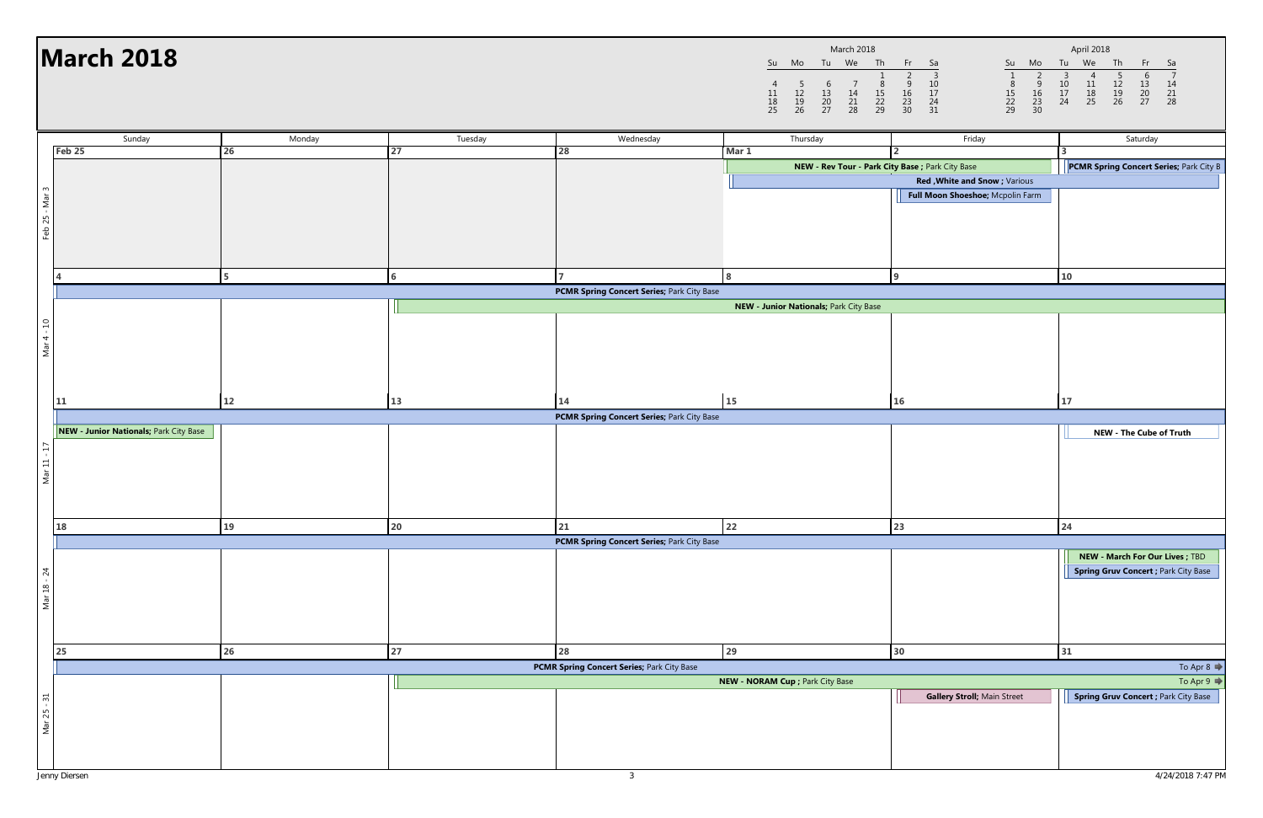|                |                     |                     | <b>March 2018</b> |                     |                          |
|----------------|---------------------|---------------------|-------------------|---------------------|--------------------------|
| Su             | Mo                  | Tu                  | We                | Th                  | Fr                       |
| 11<br>18<br>25 | 5<br>12<br>19<br>26 | 6<br>13<br>20<br>27 | 14<br>21<br>28    | 8<br>15<br>22<br>29 | 2<br>9<br>16<br>23<br>30 |

|                | <b>March 2018</b>                      |                |         |                                            | $\begin{array}{c} 11 \\ 18 \\ 25 \end{array}$ | March 2018<br>Tu We Th<br>Su Mo<br>$\begin{array}{c} 1 \\ 8 \\ 15 \\ 22 \\ 29 \end{array}$<br>$\begin{array}{c} 7 \\ 14 \\ 21 \\ 28 \end{array}$<br>$\begin{array}{c} 5 \\ 12 \\ 19 \\ 26 \end{array}$<br>$\begin{array}{c} 6 \\ 13 \\ 20 \\ 27 \end{array}$ | Fr Sa<br>Su<br>Mo<br>$\begin{array}{@{}ll@{}} \hline 2 & 3 \\ 9 & 10 \\ 16 & 17 \\ 23 & 24 \\ 30 & 31 \\ \hline \end{array}$<br>$29$<br>$16$<br>$23$<br>$30$<br>$\begin{array}{c} 8 \\ 15 \\ 22 \\ 29 \end{array}$ | April 2018<br>Tu We<br>Th<br>Fr<br>- Sa<br>$\begin{array}{c} 3 \\ 10 \\ 17 \\ 24 \end{array}$<br>$\frac{5}{12}$<br>$\frac{12}{19}$<br>26<br>$\begin{array}{c} 6 \\ 13 \\ 20 \\ 27 \end{array}$<br>$\overline{4}$<br>$\frac{11}{18}$<br>25<br>$\begin{array}{c} 14 \\ 21 \\ 28 \end{array}$ |
|----------------|----------------------------------------|----------------|---------|--------------------------------------------|-----------------------------------------------|--------------------------------------------------------------------------------------------------------------------------------------------------------------------------------------------------------------------------------------------------------------|--------------------------------------------------------------------------------------------------------------------------------------------------------------------------------------------------------------------|--------------------------------------------------------------------------------------------------------------------------------------------------------------------------------------------------------------------------------------------------------------------------------------------|
|                | Sunday                                 | Monday         | Tuesday | Wednesday                                  |                                               | Thursday                                                                                                                                                                                                                                                     | Friday                                                                                                                                                                                                             | Saturday                                                                                                                                                                                                                                                                                   |
|                | Feb 25                                 | 26             | 27      | 28                                         | Mar 1                                         |                                                                                                                                                                                                                                                              |                                                                                                                                                                                                                    |                                                                                                                                                                                                                                                                                            |
|                |                                        |                |         |                                            |                                               | NEW - Rev Tour - Park City Base ; Park City Base                                                                                                                                                                                                             | Red, White and Snow; Various                                                                                                                                                                                       | <b>PCMR Spring Concert Series; Park City B</b>                                                                                                                                                                                                                                             |
|                |                                        |                |         |                                            |                                               |                                                                                                                                                                                                                                                              | Full Moon Shoeshoe; Mcpolin Farm                                                                                                                                                                                   |                                                                                                                                                                                                                                                                                            |
|                |                                        |                |         |                                            |                                               |                                                                                                                                                                                                                                                              |                                                                                                                                                                                                                    |                                                                                                                                                                                                                                                                                            |
| Feb 25 - Mar 3 |                                        |                |         |                                            |                                               |                                                                                                                                                                                                                                                              |                                                                                                                                                                                                                    |                                                                                                                                                                                                                                                                                            |
|                |                                        |                |         |                                            |                                               |                                                                                                                                                                                                                                                              |                                                                                                                                                                                                                    |                                                                                                                                                                                                                                                                                            |
|                |                                        |                |         |                                            |                                               |                                                                                                                                                                                                                                                              |                                                                                                                                                                                                                    |                                                                                                                                                                                                                                                                                            |
|                |                                        | 5 <sup>5</sup> | 6       |                                            | 8                                             |                                                                                                                                                                                                                                                              | $\Omega$                                                                                                                                                                                                           | 10                                                                                                                                                                                                                                                                                         |
|                |                                        |                |         | PCMR Spring Concert Series; Park City Base |                                               |                                                                                                                                                                                                                                                              |                                                                                                                                                                                                                    |                                                                                                                                                                                                                                                                                            |
|                |                                        |                |         |                                            |                                               | NEW - Junior Nationals; Park City Base                                                                                                                                                                                                                       |                                                                                                                                                                                                                    |                                                                                                                                                                                                                                                                                            |
|                |                                        |                |         |                                            |                                               |                                                                                                                                                                                                                                                              |                                                                                                                                                                                                                    |                                                                                                                                                                                                                                                                                            |
| Mar 4 - 10     |                                        |                |         |                                            |                                               |                                                                                                                                                                                                                                                              |                                                                                                                                                                                                                    |                                                                                                                                                                                                                                                                                            |
|                |                                        |                |         |                                            |                                               |                                                                                                                                                                                                                                                              |                                                                                                                                                                                                                    |                                                                                                                                                                                                                                                                                            |
|                |                                        |                |         |                                            |                                               |                                                                                                                                                                                                                                                              |                                                                                                                                                                                                                    |                                                                                                                                                                                                                                                                                            |
|                |                                        |                |         |                                            |                                               |                                                                                                                                                                                                                                                              |                                                                                                                                                                                                                    |                                                                                                                                                                                                                                                                                            |
|                | 11                                     | 12             | 13      | 14                                         | 15                                            |                                                                                                                                                                                                                                                              | 16                                                                                                                                                                                                                 | 17                                                                                                                                                                                                                                                                                         |
|                |                                        |                |         | PCMR Spring Concert Series; Park City Base |                                               |                                                                                                                                                                                                                                                              |                                                                                                                                                                                                                    |                                                                                                                                                                                                                                                                                            |
|                | NEW - Junior Nationals; Park City Base |                |         |                                            |                                               |                                                                                                                                                                                                                                                              |                                                                                                                                                                                                                    | <b>NEW - The Cube of Truth</b>                                                                                                                                                                                                                                                             |
| Mar 11 - 17    |                                        |                |         |                                            |                                               |                                                                                                                                                                                                                                                              |                                                                                                                                                                                                                    |                                                                                                                                                                                                                                                                                            |
|                |                                        |                |         |                                            |                                               |                                                                                                                                                                                                                                                              |                                                                                                                                                                                                                    |                                                                                                                                                                                                                                                                                            |
|                |                                        |                |         |                                            |                                               |                                                                                                                                                                                                                                                              |                                                                                                                                                                                                                    |                                                                                                                                                                                                                                                                                            |
|                |                                        |                |         |                                            |                                               |                                                                                                                                                                                                                                                              |                                                                                                                                                                                                                    |                                                                                                                                                                                                                                                                                            |
|                | <b>18</b>                              | 19             | 20      | 21                                         | 22                                            |                                                                                                                                                                                                                                                              | 23                                                                                                                                                                                                                 | 24                                                                                                                                                                                                                                                                                         |
|                |                                        |                |         | PCMR Spring Concert Series; Park City Base |                                               |                                                                                                                                                                                                                                                              |                                                                                                                                                                                                                    |                                                                                                                                                                                                                                                                                            |
|                |                                        |                |         |                                            |                                               |                                                                                                                                                                                                                                                              |                                                                                                                                                                                                                    | <b>NEW - March For Our Lives ; TBD</b>                                                                                                                                                                                                                                                     |
|                |                                        |                |         |                                            |                                               |                                                                                                                                                                                                                                                              |                                                                                                                                                                                                                    | <b>Spring Gruv Concert ; Park City Base</b>                                                                                                                                                                                                                                                |
| Mar 18 - 24    |                                        |                |         |                                            |                                               |                                                                                                                                                                                                                                                              |                                                                                                                                                                                                                    |                                                                                                                                                                                                                                                                                            |
|                |                                        |                |         |                                            |                                               |                                                                                                                                                                                                                                                              |                                                                                                                                                                                                                    |                                                                                                                                                                                                                                                                                            |
|                |                                        |                |         |                                            |                                               |                                                                                                                                                                                                                                                              |                                                                                                                                                                                                                    |                                                                                                                                                                                                                                                                                            |
|                |                                        |                |         |                                            |                                               |                                                                                                                                                                                                                                                              |                                                                                                                                                                                                                    |                                                                                                                                                                                                                                                                                            |
|                | 25                                     | 26             | 27      | 28                                         | 29                                            |                                                                                                                                                                                                                                                              | 30                                                                                                                                                                                                                 | 31                                                                                                                                                                                                                                                                                         |
|                |                                        |                |         | PCMR Spring Concert Series; Park City Base |                                               |                                                                                                                                                                                                                                                              |                                                                                                                                                                                                                    | To Apr 8 $\Rightarrow$                                                                                                                                                                                                                                                                     |
|                |                                        |                |         |                                            |                                               | NEW - NORAM Cup ; Park City Base                                                                                                                                                                                                                             |                                                                                                                                                                                                                    | To Apr 9                                                                                                                                                                                                                                                                                   |
| Mar 25 - 31    |                                        |                |         |                                            |                                               |                                                                                                                                                                                                                                                              | <b>Gallery Stroll; Main Street</b>                                                                                                                                                                                 | <b>Spring Gruv Concert ; Park City Base</b>                                                                                                                                                                                                                                                |
|                |                                        |                |         |                                            |                                               |                                                                                                                                                                                                                                                              |                                                                                                                                                                                                                    |                                                                                                                                                                                                                                                                                            |
|                |                                        |                |         |                                            |                                               |                                                                                                                                                                                                                                                              |                                                                                                                                                                                                                    |                                                                                                                                                                                                                                                                                            |
|                |                                        |                |         |                                            |                                               |                                                                                                                                                                                                                                                              |                                                                                                                                                                                                                    |                                                                                                                                                                                                                                                                                            |
|                |                                        |                |         |                                            |                                               |                                                                                                                                                                                                                                                              |                                                                                                                                                                                                                    |                                                                                                                                                                                                                                                                                            |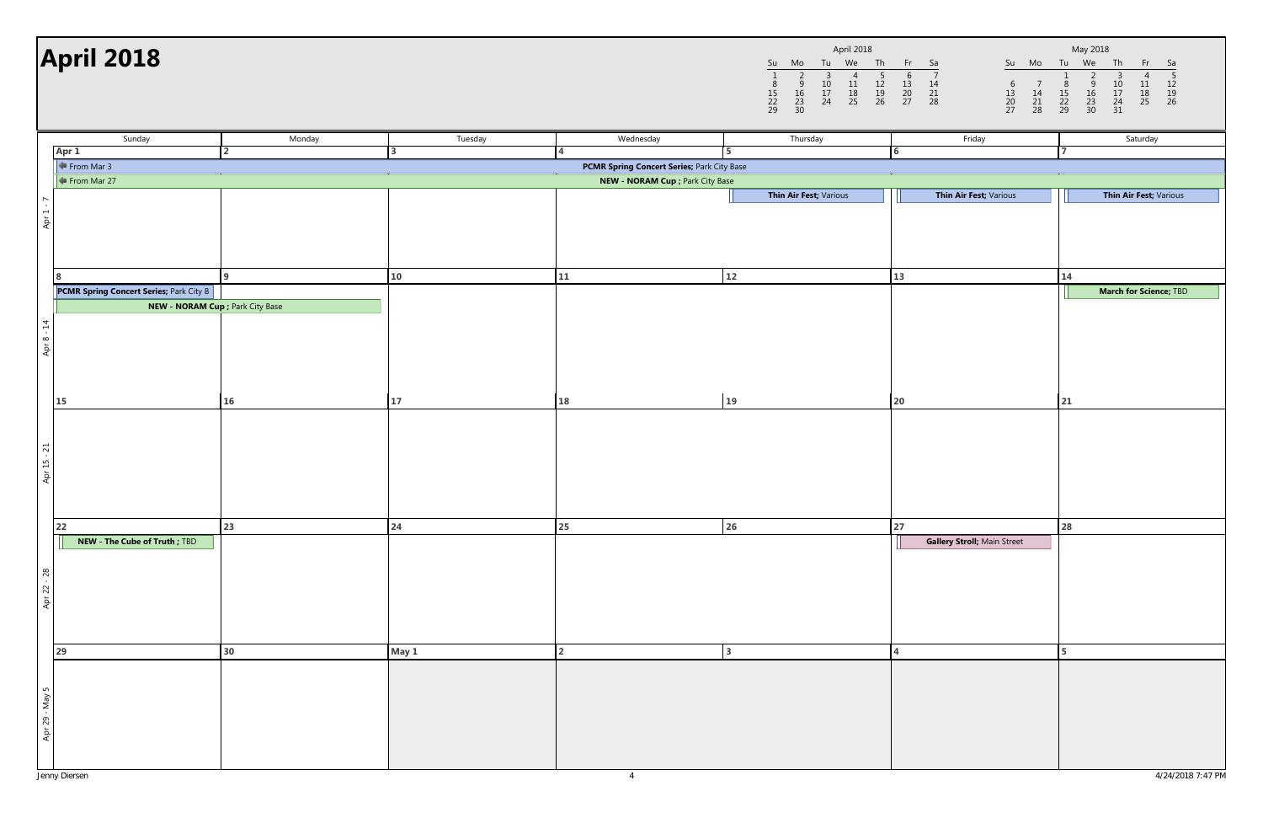|                     |                          |                     | April 2018     |                     |                     |
|---------------------|--------------------------|---------------------|----------------|---------------------|---------------------|
| Su                  | Mo                       | Tu                  | We             | Th                  | Fr                  |
| 8<br>15<br>22<br>29 | 2<br>9<br>16<br>23<br>30 | 3<br>10<br>17<br>24 | 11<br>18<br>25 | 5<br>12<br>19<br>26 | ჩ<br>13<br>20<br>27 |

| Sunday<br>Tuesday<br>Wednesday<br>Friday<br>Saturday<br>Monday<br>Thursday<br>Apr 1<br>$\overline{2}$<br>3<br>6<br>$\leftarrow$ From Mar 3<br>PCMR Spring Concert Series; Park City Base<br>$\leftarrow$ From Mar 27<br>NEW - NORAM Cup ; Park City Base<br>Thin Air Fest; Various<br>Thin Air Fest; Various<br>Thin Air Fest; Various<br>Apr $1 - 7$<br>12<br>10<br>11<br>13<br>14<br>q<br><b>PCMR Spring Concert Series; Park City B</b><br><b>March for Science; TBD</b><br><b>NEW - NORAM Cup</b> ; Park City Base<br>Apr 8 - 14 | <b>April 2018</b> |  |  | April 2018<br>Tu We<br>Th<br>Su Mo<br>2<br>$\overline{3}$<br>$\frac{5}{12}$<br>$\frac{12}{19}$<br>26<br>$\overline{A}$<br>$\frac{10}{17}$<br>24<br>$\begin{array}{c} 11 \\ 18 \\ 25 \end{array}$<br>$\frac{8}{15}$<br>22<br>29<br>$\frac{9}{16}$<br>$\frac{23}{30}$ | Fr Sa<br>Su Mo<br>$\overline{7}$<br>6<br>$\frac{13}{20}$<br>27<br>$\begin{array}{c}\n 14 \\  21 \\  28\n \end{array}$<br>$\begin{array}{c} 7 \\ 14 \\ 21 \\ 28 \end{array}$<br>$\begin{array}{c} 6 \\ 13 \\ 20 \\ 27 \end{array}$ | May 2018<br>Tu We<br>Th<br>Fr<br>Sa<br>$\frac{5}{12}$<br>$\frac{12}{26}$<br>3<br>$\frac{10}{17}$<br>$\frac{24}{31}$<br>$\frac{8}{15}$<br>22<br>29<br>$\frac{9}{16}$<br>$\frac{23}{30}$<br>$\begin{array}{c} 11 \\ 18 \\ 25 \end{array}$ |
|--------------------------------------------------------------------------------------------------------------------------------------------------------------------------------------------------------------------------------------------------------------------------------------------------------------------------------------------------------------------------------------------------------------------------------------------------------------------------------------------------------------------------------------|-------------------|--|--|---------------------------------------------------------------------------------------------------------------------------------------------------------------------------------------------------------------------------------------------------------------------|-----------------------------------------------------------------------------------------------------------------------------------------------------------------------------------------------------------------------------------|-----------------------------------------------------------------------------------------------------------------------------------------------------------------------------------------------------------------------------------------|
|                                                                                                                                                                                                                                                                                                                                                                                                                                                                                                                                      |                   |  |  |                                                                                                                                                                                                                                                                     |                                                                                                                                                                                                                                   |                                                                                                                                                                                                                                         |
|                                                                                                                                                                                                                                                                                                                                                                                                                                                                                                                                      |                   |  |  |                                                                                                                                                                                                                                                                     |                                                                                                                                                                                                                                   |                                                                                                                                                                                                                                         |
|                                                                                                                                                                                                                                                                                                                                                                                                                                                                                                                                      |                   |  |  |                                                                                                                                                                                                                                                                     |                                                                                                                                                                                                                                   |                                                                                                                                                                                                                                         |
|                                                                                                                                                                                                                                                                                                                                                                                                                                                                                                                                      |                   |  |  |                                                                                                                                                                                                                                                                     |                                                                                                                                                                                                                                   |                                                                                                                                                                                                                                         |
|                                                                                                                                                                                                                                                                                                                                                                                                                                                                                                                                      |                   |  |  |                                                                                                                                                                                                                                                                     |                                                                                                                                                                                                                                   |                                                                                                                                                                                                                                         |
|                                                                                                                                                                                                                                                                                                                                                                                                                                                                                                                                      |                   |  |  |                                                                                                                                                                                                                                                                     |                                                                                                                                                                                                                                   |                                                                                                                                                                                                                                         |
|                                                                                                                                                                                                                                                                                                                                                                                                                                                                                                                                      |                   |  |  |                                                                                                                                                                                                                                                                     |                                                                                                                                                                                                                                   |                                                                                                                                                                                                                                         |
|                                                                                                                                                                                                                                                                                                                                                                                                                                                                                                                                      |                   |  |  |                                                                                                                                                                                                                                                                     |                                                                                                                                                                                                                                   |                                                                                                                                                                                                                                         |
|                                                                                                                                                                                                                                                                                                                                                                                                                                                                                                                                      |                   |  |  |                                                                                                                                                                                                                                                                     |                                                                                                                                                                                                                                   |                                                                                                                                                                                                                                         |
|                                                                                                                                                                                                                                                                                                                                                                                                                                                                                                                                      |                   |  |  |                                                                                                                                                                                                                                                                     |                                                                                                                                                                                                                                   |                                                                                                                                                                                                                                         |
|                                                                                                                                                                                                                                                                                                                                                                                                                                                                                                                                      |                   |  |  |                                                                                                                                                                                                                                                                     |                                                                                                                                                                                                                                   |                                                                                                                                                                                                                                         |
|                                                                                                                                                                                                                                                                                                                                                                                                                                                                                                                                      |                   |  |  |                                                                                                                                                                                                                                                                     |                                                                                                                                                                                                                                   |                                                                                                                                                                                                                                         |
|                                                                                                                                                                                                                                                                                                                                                                                                                                                                                                                                      |                   |  |  |                                                                                                                                                                                                                                                                     |                                                                                                                                                                                                                                   |                                                                                                                                                                                                                                         |
|                                                                                                                                                                                                                                                                                                                                                                                                                                                                                                                                      |                   |  |  |                                                                                                                                                                                                                                                                     |                                                                                                                                                                                                                                   |                                                                                                                                                                                                                                         |
|                                                                                                                                                                                                                                                                                                                                                                                                                                                                                                                                      |                   |  |  |                                                                                                                                                                                                                                                                     |                                                                                                                                                                                                                                   |                                                                                                                                                                                                                                         |
| 19<br>$20\,$<br><b>15</b><br>16<br>17<br>18<br>21                                                                                                                                                                                                                                                                                                                                                                                                                                                                                    |                   |  |  |                                                                                                                                                                                                                                                                     |                                                                                                                                                                                                                                   |                                                                                                                                                                                                                                         |
|                                                                                                                                                                                                                                                                                                                                                                                                                                                                                                                                      |                   |  |  |                                                                                                                                                                                                                                                                     |                                                                                                                                                                                                                                   |                                                                                                                                                                                                                                         |
|                                                                                                                                                                                                                                                                                                                                                                                                                                                                                                                                      |                   |  |  |                                                                                                                                                                                                                                                                     |                                                                                                                                                                                                                                   |                                                                                                                                                                                                                                         |
|                                                                                                                                                                                                                                                                                                                                                                                                                                                                                                                                      |                   |  |  |                                                                                                                                                                                                                                                                     |                                                                                                                                                                                                                                   |                                                                                                                                                                                                                                         |
| Apr 15 - 21                                                                                                                                                                                                                                                                                                                                                                                                                                                                                                                          |                   |  |  |                                                                                                                                                                                                                                                                     |                                                                                                                                                                                                                                   |                                                                                                                                                                                                                                         |
|                                                                                                                                                                                                                                                                                                                                                                                                                                                                                                                                      |                   |  |  |                                                                                                                                                                                                                                                                     |                                                                                                                                                                                                                                   |                                                                                                                                                                                                                                         |
|                                                                                                                                                                                                                                                                                                                                                                                                                                                                                                                                      |                   |  |  |                                                                                                                                                                                                                                                                     |                                                                                                                                                                                                                                   |                                                                                                                                                                                                                                         |
| 23<br>24<br>25<br>26<br>27<br>28<br>22                                                                                                                                                                                                                                                                                                                                                                                                                                                                                               |                   |  |  |                                                                                                                                                                                                                                                                     |                                                                                                                                                                                                                                   |                                                                                                                                                                                                                                         |
| NEW - The Cube of Truth ; TBD<br>Gallery Stroll; Main Street                                                                                                                                                                                                                                                                                                                                                                                                                                                                         |                   |  |  |                                                                                                                                                                                                                                                                     |                                                                                                                                                                                                                                   |                                                                                                                                                                                                                                         |
|                                                                                                                                                                                                                                                                                                                                                                                                                                                                                                                                      |                   |  |  |                                                                                                                                                                                                                                                                     |                                                                                                                                                                                                                                   |                                                                                                                                                                                                                                         |
|                                                                                                                                                                                                                                                                                                                                                                                                                                                                                                                                      |                   |  |  |                                                                                                                                                                                                                                                                     |                                                                                                                                                                                                                                   |                                                                                                                                                                                                                                         |
| Apr $22 - 28$                                                                                                                                                                                                                                                                                                                                                                                                                                                                                                                        |                   |  |  |                                                                                                                                                                                                                                                                     |                                                                                                                                                                                                                                   |                                                                                                                                                                                                                                         |
|                                                                                                                                                                                                                                                                                                                                                                                                                                                                                                                                      |                   |  |  |                                                                                                                                                                                                                                                                     |                                                                                                                                                                                                                                   |                                                                                                                                                                                                                                         |
|                                                                                                                                                                                                                                                                                                                                                                                                                                                                                                                                      |                   |  |  |                                                                                                                                                                                                                                                                     |                                                                                                                                                                                                                                   |                                                                                                                                                                                                                                         |
| 30<br>May 1<br>29                                                                                                                                                                                                                                                                                                                                                                                                                                                                                                                    |                   |  |  |                                                                                                                                                                                                                                                                     |                                                                                                                                                                                                                                   |                                                                                                                                                                                                                                         |
|                                                                                                                                                                                                                                                                                                                                                                                                                                                                                                                                      |                   |  |  |                                                                                                                                                                                                                                                                     |                                                                                                                                                                                                                                   |                                                                                                                                                                                                                                         |
|                                                                                                                                                                                                                                                                                                                                                                                                                                                                                                                                      |                   |  |  |                                                                                                                                                                                                                                                                     |                                                                                                                                                                                                                                   |                                                                                                                                                                                                                                         |
| Apr 29 - May 5                                                                                                                                                                                                                                                                                                                                                                                                                                                                                                                       |                   |  |  |                                                                                                                                                                                                                                                                     |                                                                                                                                                                                                                                   |                                                                                                                                                                                                                                         |
|                                                                                                                                                                                                                                                                                                                                                                                                                                                                                                                                      |                   |  |  |                                                                                                                                                                                                                                                                     |                                                                                                                                                                                                                                   |                                                                                                                                                                                                                                         |
|                                                                                                                                                                                                                                                                                                                                                                                                                                                                                                                                      |                   |  |  |                                                                                                                                                                                                                                                                     |                                                                                                                                                                                                                                   |                                                                                                                                                                                                                                         |
|                                                                                                                                                                                                                                                                                                                                                                                                                                                                                                                                      |                   |  |  |                                                                                                                                                                                                                                                                     |                                                                                                                                                                                                                                   |                                                                                                                                                                                                                                         |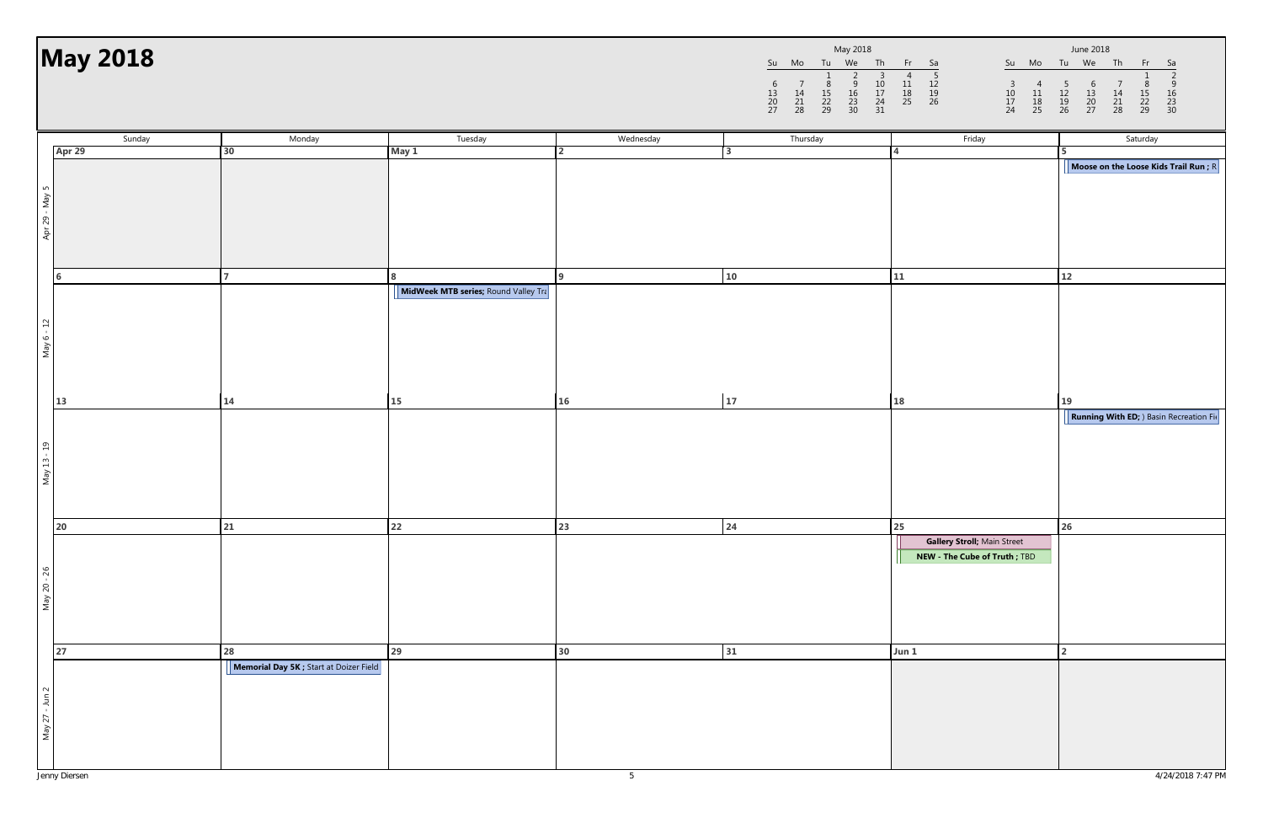|                     |                |                     | May 2018            |                           |                |
|---------------------|----------------|---------------------|---------------------|---------------------------|----------------|
| Su                  | Mo             | Tu                  | We                  | Th                        | Fr             |
| 6<br>13<br>20<br>27 | 14<br>21<br>28 | 8<br>15<br>22<br>29 | q<br>16<br>23<br>30 | З<br>10<br>17<br>24<br>31 | 11<br>18<br>25 |

|                | <b>May 2018</b>  |                                         |                                      |                             | $\begin{array}{c} 7 \\ 14 \\ 21 \\ 28 \end{array}$<br>6<br>$\begin{array}{c} 13 \\ 20 \\ 27 \end{array}$ | May 2018<br>Su Mo Tu We Th<br>$\begin{array}{c}\n 3 \\  10 \\  17 \\  24 \\  31\n \end{array}$<br>$\overline{2}$<br>$\frac{8}{15}$<br>22<br>29<br>$\frac{9}{16}$<br>$\frac{23}{30}$ | Fr Sa<br>$\frac{5}{12}$<br>$\frac{12}{19}$<br>26<br>$\begin{array}{c} 4 \\ 11 \\ 18 \\ 25 \end{array}$<br>$\begin{array}{c} 3 \\ 10 \\ 17 \\ 24 \end{array}$<br>$\begin{array}{c} 4 \\ 11 \\ 18 \\ 25 \end{array}$ | June 2018<br>Su Mo Tu We Th<br>Fr<br>- Sa<br>$\overline{2}$<br>$\frac{9}{16}$<br>$\frac{23}{30}$<br>$\begin{array}{c} 5 \\ 12 \\ 19 \\ 26 \end{array}$<br>$\begin{array}{c} 6 \\ 13 \\ 20 \\ 27 \end{array}$<br>$\begin{array}{c} 7 \\ 14 \\ 21 \\ 28 \end{array}$<br>$\begin{array}{c}\n 8 \\  15 \\  22 \\  29\n \end{array}$ |
|----------------|------------------|-----------------------------------------|--------------------------------------|-----------------------------|----------------------------------------------------------------------------------------------------------|-------------------------------------------------------------------------------------------------------------------------------------------------------------------------------------|--------------------------------------------------------------------------------------------------------------------------------------------------------------------------------------------------------------------|---------------------------------------------------------------------------------------------------------------------------------------------------------------------------------------------------------------------------------------------------------------------------------------------------------------------------------|
|                | Sunday<br>Apr 29 | Monday<br>30                            | Tuesday                              | Wednesday<br>$\overline{2}$ | Thursday<br>3                                                                                            |                                                                                                                                                                                     | Friday                                                                                                                                                                                                             | Saturday                                                                                                                                                                                                                                                                                                                        |
|                |                  |                                         | May 1                                |                             |                                                                                                          |                                                                                                                                                                                     |                                                                                                                                                                                                                    | Moose on the Loose Kids Trail Run ; R                                                                                                                                                                                                                                                                                           |
| Apr 29 - May 5 |                  |                                         |                                      |                             |                                                                                                          |                                                                                                                                                                                     |                                                                                                                                                                                                                    |                                                                                                                                                                                                                                                                                                                                 |
|                |                  |                                         |                                      |                             |                                                                                                          |                                                                                                                                                                                     |                                                                                                                                                                                                                    |                                                                                                                                                                                                                                                                                                                                 |
|                | 6                |                                         | 8                                    |                             | 10                                                                                                       |                                                                                                                                                                                     | 11                                                                                                                                                                                                                 | 12                                                                                                                                                                                                                                                                                                                              |
| May 6 - 12     |                  |                                         | MidWeek MTB series; Round Valley Tra |                             |                                                                                                          |                                                                                                                                                                                     |                                                                                                                                                                                                                    |                                                                                                                                                                                                                                                                                                                                 |
|                | 13               | 14                                      | <b>15</b>                            | 16                          | 17                                                                                                       |                                                                                                                                                                                     | 18                                                                                                                                                                                                                 | 19                                                                                                                                                                                                                                                                                                                              |
| May 13 - 19    |                  |                                         |                                      |                             |                                                                                                          |                                                                                                                                                                                     |                                                                                                                                                                                                                    | <b>Running With ED;</b> ) Basin Recreation Fig                                                                                                                                                                                                                                                                                  |
|                | 20               | 21                                      | 22                                   | 23                          | 24                                                                                                       |                                                                                                                                                                                     | 25                                                                                                                                                                                                                 | 26                                                                                                                                                                                                                                                                                                                              |
| May 20 - 26    |                  |                                         |                                      |                             |                                                                                                          |                                                                                                                                                                                     | Gallery Stroll; Main Street<br>NEW - The Cube of Truth ; TBD                                                                                                                                                       |                                                                                                                                                                                                                                                                                                                                 |
|                | 27               | 28                                      | 29                                   | 30                          | 31                                                                                                       |                                                                                                                                                                                     | Jun 1                                                                                                                                                                                                              |                                                                                                                                                                                                                                                                                                                                 |
| May 27 - Jun 2 |                  | Memorial Day 5K ; Start at Doizer Field |                                      |                             |                                                                                                          |                                                                                                                                                                                     |                                                                                                                                                                                                                    |                                                                                                                                                                                                                                                                                                                                 |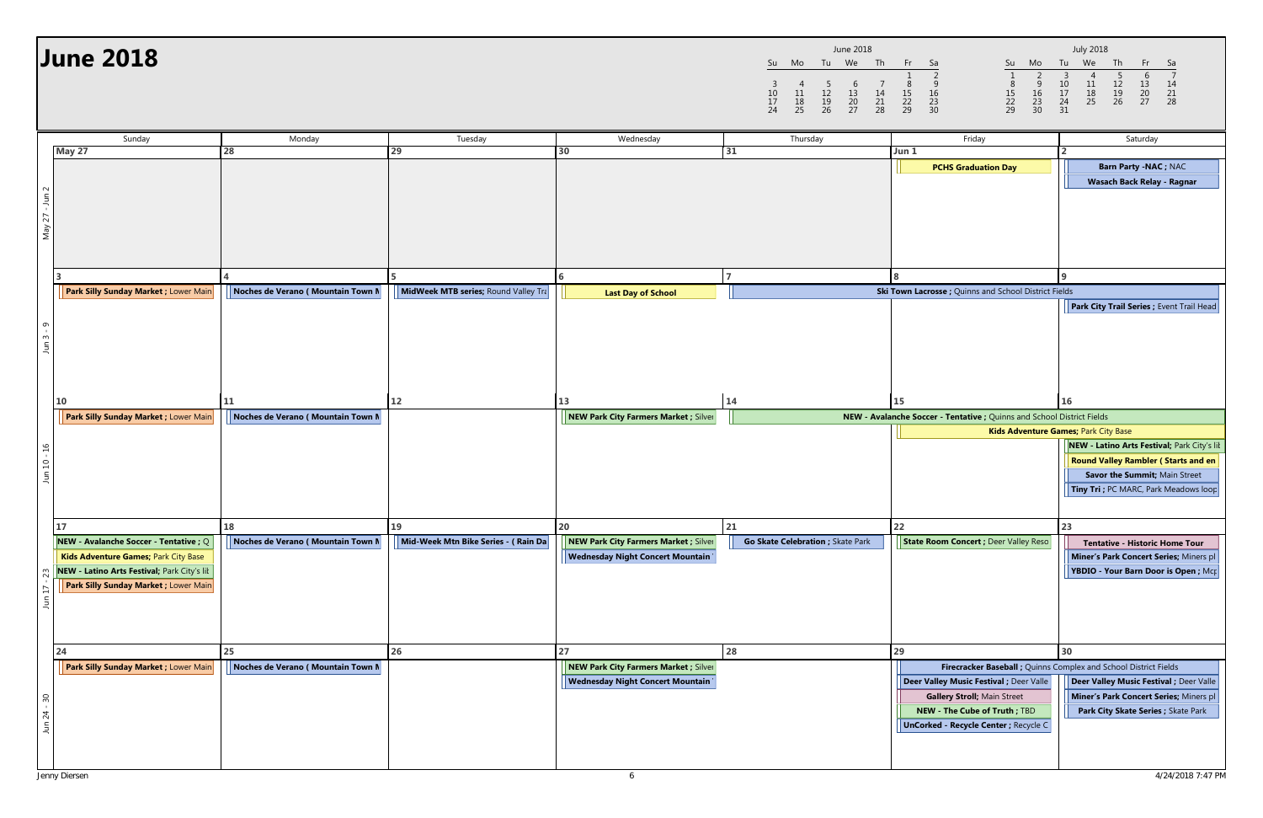|                     |                |                     | June 2018           |                |                     |
|---------------------|----------------|---------------------|---------------------|----------------|---------------------|
| Su                  | Mo             | Tu                  | We                  | Th             | Fr                  |
| 3<br>10<br>17<br>24 | 11<br>18<br>25 | 5<br>12<br>19<br>26 | 6<br>13<br>20<br>27 | 14<br>21<br>28 | 8<br>15<br>22<br>29 |

|                | <b>June 2018</b>                                                                                                                                                       |                                   |                                      |                                                                                  | 3<br>10<br>$\frac{17}{24}$ | Su Mo Tu We Th<br>$\frac{5}{12}$<br>$\frac{12}{26}$<br>$\overline{4}$<br>$\begin{array}{c} 11 \\ 18 \\ 25 \end{array}$ | June 2018<br>$\begin{array}{c} 6 \\ 13 \\ 20 \\ 27 \end{array}$<br>$\begin{array}{c} 7 \\ 14 \\ 21 \\ 28 \end{array}$ | Fr Sa<br>$\begin{array}{c}\n 9 \\  16 \\  23 \\  30\n\end{array}$<br>8<br>$\frac{15}{22}$<br>29 | Su<br>Mo<br>$\frac{9}{16}$<br>$\frac{23}{30}$<br>$\begin{array}{c} 8 \\ 15 \\ 22 \\ 29 \end{array}$                                                            | <b>July 2018</b><br>Tu We<br>Th<br>$\overline{\mathbf{3}}$<br>$\begin{array}{c} 5 \\ 12 \\ 19 \\ 26 \end{array}$<br>$\frac{10}{17}$<br>$\frac{24}{31}$<br>$\begin{array}{c} 11 \\ 18 \\ 25 \end{array}$<br>$\begin{array}{c} 13 \\ 20 \\ 27 \end{array}$<br>14<br>$\begin{array}{c} 21 \\ 28 \end{array}$ |
|----------------|------------------------------------------------------------------------------------------------------------------------------------------------------------------------|-----------------------------------|--------------------------------------|----------------------------------------------------------------------------------|----------------------------|------------------------------------------------------------------------------------------------------------------------|-----------------------------------------------------------------------------------------------------------------------|-------------------------------------------------------------------------------------------------|----------------------------------------------------------------------------------------------------------------------------------------------------------------|-----------------------------------------------------------------------------------------------------------------------------------------------------------------------------------------------------------------------------------------------------------------------------------------------------------|
|                | Sunday                                                                                                                                                                 | Monday                            | Tuesday                              | Wednesday                                                                        |                            | Thursday                                                                                                               |                                                                                                                       |                                                                                                 | Friday                                                                                                                                                         | Saturday                                                                                                                                                                                                                                                                                                  |
|                | May 27                                                                                                                                                                 | 28                                | 29                                   | 30                                                                               | 31                         |                                                                                                                        |                                                                                                                       | Jun 1                                                                                           |                                                                                                                                                                |                                                                                                                                                                                                                                                                                                           |
|                |                                                                                                                                                                        |                                   |                                      |                                                                                  |                            |                                                                                                                        |                                                                                                                       |                                                                                                 | <b>PCHS Graduation Day</b>                                                                                                                                     | Barn Party - NAC; NAC                                                                                                                                                                                                                                                                                     |
| May 27 - Jun 2 |                                                                                                                                                                        |                                   | <b>5</b>                             |                                                                                  |                            |                                                                                                                        |                                                                                                                       |                                                                                                 |                                                                                                                                                                | Wasach Back Relay - Ragnar                                                                                                                                                                                                                                                                                |
|                | Park Silly Sunday Market ; Lower Main                                                                                                                                  | Noches de Verano (Mountain Town N | MidWeek MTB series; Round Valley Tra | <b>Last Day of School</b>                                                        |                            |                                                                                                                        |                                                                                                                       |                                                                                                 | Ski Town Lacrosse ; Quinns and School District Fields                                                                                                          |                                                                                                                                                                                                                                                                                                           |
| Jun $3 - 9$    |                                                                                                                                                                        |                                   |                                      |                                                                                  |                            |                                                                                                                        |                                                                                                                       |                                                                                                 |                                                                                                                                                                | Park City Trail Series ; Event Trail Head                                                                                                                                                                                                                                                                 |
|                | <b>10</b>                                                                                                                                                              | 11                                | 12                                   | 13                                                                               | 14                         |                                                                                                                        |                                                                                                                       | 15                                                                                              |                                                                                                                                                                | 16                                                                                                                                                                                                                                                                                                        |
|                | Park Silly Sunday Market ; Lower Main                                                                                                                                  | Noches de Verano (Mountain Town N |                                      | NEW Park City Farmers Market ; Silver                                            |                            |                                                                                                                        |                                                                                                                       |                                                                                                 | NEW - Avalanche Soccer - Tentative ; Quinns and School District Fields                                                                                         |                                                                                                                                                                                                                                                                                                           |
| Jun 10 - 16    |                                                                                                                                                                        |                                   |                                      |                                                                                  |                            |                                                                                                                        |                                                                                                                       |                                                                                                 |                                                                                                                                                                | Kids Adventure Games; Park City Base<br>NEW - Latino Arts Festival; Park City's lil<br><b>Round Valley Rambler (Starts and en</b><br>Savor the Summit; Main Street<br>Tiny Tri ; PC MARC, Park Meadows loop                                                                                               |
|                | <b>17</b>                                                                                                                                                              | 18                                | 19                                   | 20                                                                               | 21                         |                                                                                                                        |                                                                                                                       | 22                                                                                              |                                                                                                                                                                | 23                                                                                                                                                                                                                                                                                                        |
| 23<br>Jun 17   | NEW - Avalanche Soccer - Tentative ; Q<br>Kids Adventure Games; Park City Base<br>NEW - Latino Arts Festival; Park City's lil<br>Park Silly Sunday Market ; Lower Main | Noches de Verano (Mountain Town M | Mid-Week Mtn Bike Series - (Rain Da  | NEW Park City Farmers Market ; Silver<br><b>Wednesday Night Concert Mountain</b> |                            | Go Skate Celebration ; Skate Park                                                                                      |                                                                                                                       |                                                                                                 | State Room Concert ; Deer Valley Reso                                                                                                                          | <b>Tentative - Historic Home Tour</b><br>Miner's Park Concert Series; Miners pl<br>YBDIO - Your Barn Door is Open; Mcp                                                                                                                                                                                    |
|                | 24                                                                                                                                                                     | 25                                | 26                                   | 27                                                                               | 28                         |                                                                                                                        |                                                                                                                       | 29                                                                                              |                                                                                                                                                                | 30                                                                                                                                                                                                                                                                                                        |
| Jun 24 - 30    | Park Silly Sunday Market ; Lower Main                                                                                                                                  | Noches de Verano (Mountain Town M |                                      | NEW Park City Farmers Market ; Silver<br><b>Wednesday Night Concert Mountain</b> |                            |                                                                                                                        |                                                                                                                       |                                                                                                 | Deer Valley Music Festival ; Deer Valle<br><b>Gallery Stroll; Main Street</b><br>NEW - The Cube of Truth ; TBD<br><b>UnCorked - Recycle Center ; Recycle C</b> | Firecracker Baseball ; Quinns Complex and School District Fields<br>Deer Valley Music Festival ; Deer Valle<br>Miner's Park Concert Series; Miners pl<br>Park City Skate Series ; Skate Park                                                                                                              |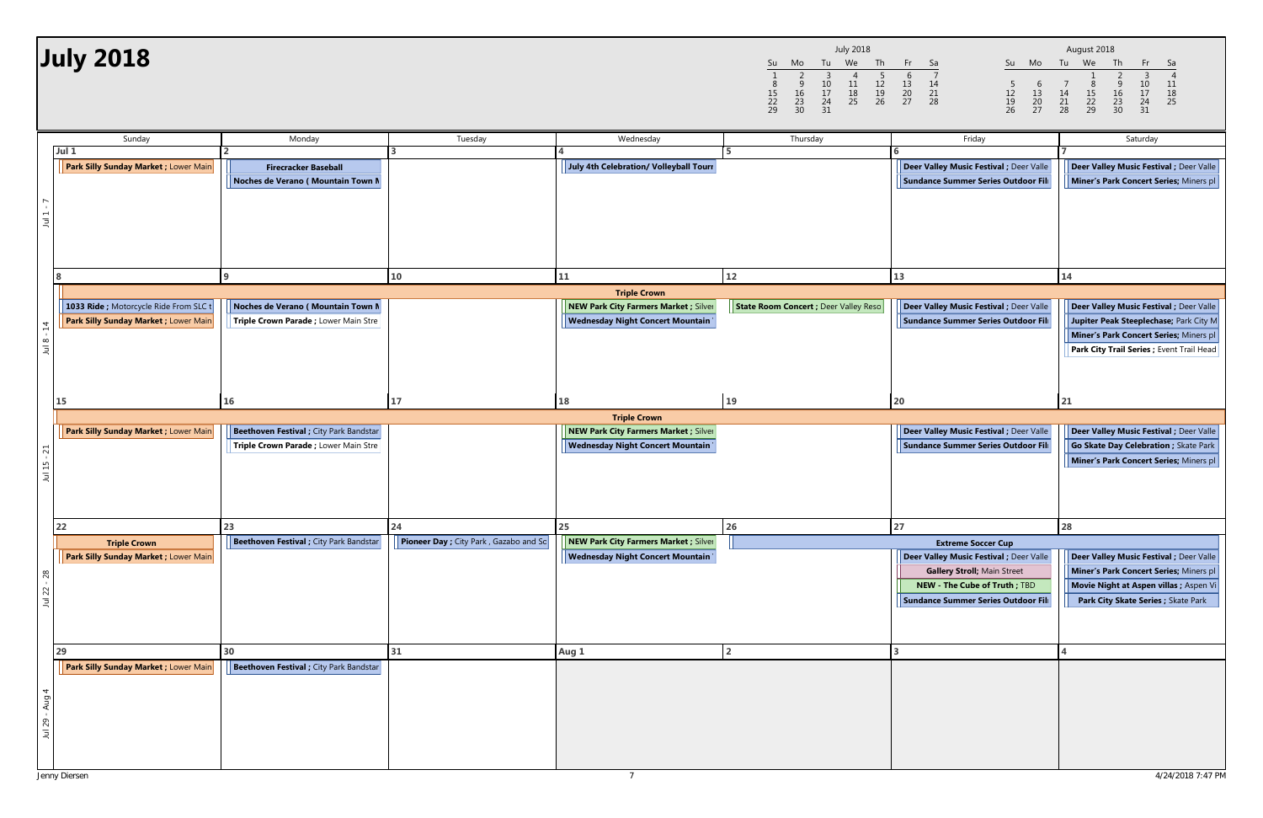|                     |                     |                           | <b>July 2018</b> |                     |                     |
|---------------------|---------------------|---------------------------|------------------|---------------------|---------------------|
| Su                  | Mo                  | Tu                        | We               | Th                  | Fr                  |
| 8<br>15<br>22<br>29 | 9<br>16<br>23<br>30 | 3<br>10<br>17<br>24<br>31 | 11<br>18<br>25   | 5<br>12<br>19<br>26 | 6<br>13<br>20<br>27 |

| <b>July 2018</b>                                                                                      |                                                                                        |                                                           |                                                                                                               | <b>July 2018</b><br>Tu<br>We<br>Th<br>Mo<br>Su<br>$\begin{array}{c} 5 \\ 12 \\ 19 \\ 26 \end{array}$<br>-3<br>-4<br>$\begin{array}{c} 11 \\ 18 \end{array}$<br>9<br>$\frac{10}{17}$<br>16<br>15<br>25<br>$^{22}_{29}$<br>$\frac{23}{30}$<br>$\begin{array}{c} 24 \\ 31 \end{array}$ | Fr<br>Sa<br>Su Mo<br>6<br>$\frac{14}{21}$<br>$\frac{5}{12}$<br>$\frac{19}{26}$<br>$\begin{array}{c} 13 \\ 20 \\ 27 \end{array}$<br>$\begin{array}{c} 6 \\ 13 \\ 20 \\ 27 \end{array}$<br>28 | August 2018<br>Tu We<br>Th<br>$\begin{array}{c} 9 \\ 16 \end{array}$<br>$\begin{array}{c} 10 \\ 17 \end{array}$<br>11<br>$\begin{array}{c} 7 \\ 14 \\ 21 \\ 28 \end{array}$<br>$\begin{array}{c}\n 8 \\  15 \\  22 \\  29\n \end{array}$<br>18<br>$\frac{23}{30}$<br>$\frac{24}{31}$<br>25 |
|-------------------------------------------------------------------------------------------------------|----------------------------------------------------------------------------------------|-----------------------------------------------------------|---------------------------------------------------------------------------------------------------------------|-------------------------------------------------------------------------------------------------------------------------------------------------------------------------------------------------------------------------------------------------------------------------------------|---------------------------------------------------------------------------------------------------------------------------------------------------------------------------------------------|--------------------------------------------------------------------------------------------------------------------------------------------------------------------------------------------------------------------------------------------------------------------------------------------|
| Sunday<br>Jul 1<br><b>Park Silly Sunday Market ; Lower Main</b><br>$J$ ul 1                           | Monday<br><b>Firecracker Baseball</b><br>Noches de Verano (Mountain Town N             | Tuesday                                                   | Wednesday<br>July 4th Celebration/ Volleyball Tourr                                                           | Thursday                                                                                                                                                                                                                                                                            | Friday<br>Deer Valley Music Festival ; Deer Valle<br>Sundance Summer Series Outdoor Fili                                                                                                    | Saturday<br>Deer Valley Music Festival ; Deer Valle<br>Miner's Park Concert Series; Miners pl                                                                                                                                                                                              |
| 1033 Ride ; Motorcycle Ride From SLC 1<br>Park Silly Sunday Market ; Lower Main<br>$\vec{a}$<br>Jul 8 | Noches de Verano (Mountain Town N<br>Triple Crown Parade ; Lower Main Stre             | 10                                                        | 11<br><b>Triple Crown</b><br>NEW Park City Farmers Market ; Silver<br><b>Wednesday Night Concert Mountain</b> | 12<br>State Room Concert ; Deer Valley Reso                                                                                                                                                                                                                                         | 13<br><b>Deer Valley Music Festival ; Deer Valle</b><br>Sundance Summer Series Outdoor Fili                                                                                                 | 14<br>Deer Valley Music Festival ; Deer Valle<br>Jupiter Peak Steeplechase; Park City M<br>Miner's Park Concert Series; Miners pl<br>Park City Trail Series ; Event Trail Head                                                                                                             |
| <b>15</b><br><b>Park Silly Sunday Market ; Lower Main</b><br>Jul 15 - 21                              | 16<br>Beethoven Festival ; City Park Bandstar<br>Triple Crown Parade ; Lower Main Stre | 17                                                        | 18<br><b>Triple Crown</b><br>NEW Park City Farmers Market ; Silver<br><b>Wednesday Night Concert Mountain</b> | 19                                                                                                                                                                                                                                                                                  | 20<br><b>Deer Valley Music Festival ; Deer Valle</b><br>Sundance Summer Series Outdoor Fili                                                                                                 | 21<br>Deer Valley Music Festival ; Deer Valle<br>Go Skate Day Celebration ; Skate Park<br>Miner's Park Concert Series; Miners pl                                                                                                                                                           |
| 22<br><b>Triple Crown</b><br><b>Park Silly Sunday Market ; Lower Main</b><br>Jul 22 - 28<br>29        | 23<br><b>Beethoven Festival</b> ; City Park Bandstar<br>30                             | 24<br><b>Pioneer Day</b> ; City Park, Gazabo and Sc<br>31 | 25<br>NEW Park City Farmers Market ; Silver<br><b>Wednesday Night Concert Mountain</b>                        | 26                                                                                                                                                                                                                                                                                  | 27<br><b>Extreme Soccer Cup</b><br>Deer Valley Music Festival ; Deer Valle<br><b>Gallery Stroll; Main Street</b><br>NEW - The Cube of Truth ; TBD<br>Sundance Summer Series Outdoor Fili    | 28<br>Deer Valley Music Festival ; Deer Valle<br>Miner's Park Concert Series; Miners pl<br>Movie Night at Aspen villas ; Aspen Vi<br>Park City Skate Series ; Skate Park                                                                                                                   |
| Park Silly Sunday Market ; Lower Main<br>Jul 29 - Aug 4                                               | Beethoven Festival ; City Park Bandstar                                                |                                                           | Aug 1                                                                                                         |                                                                                                                                                                                                                                                                                     |                                                                                                                                                                                             |                                                                                                                                                                                                                                                                                            |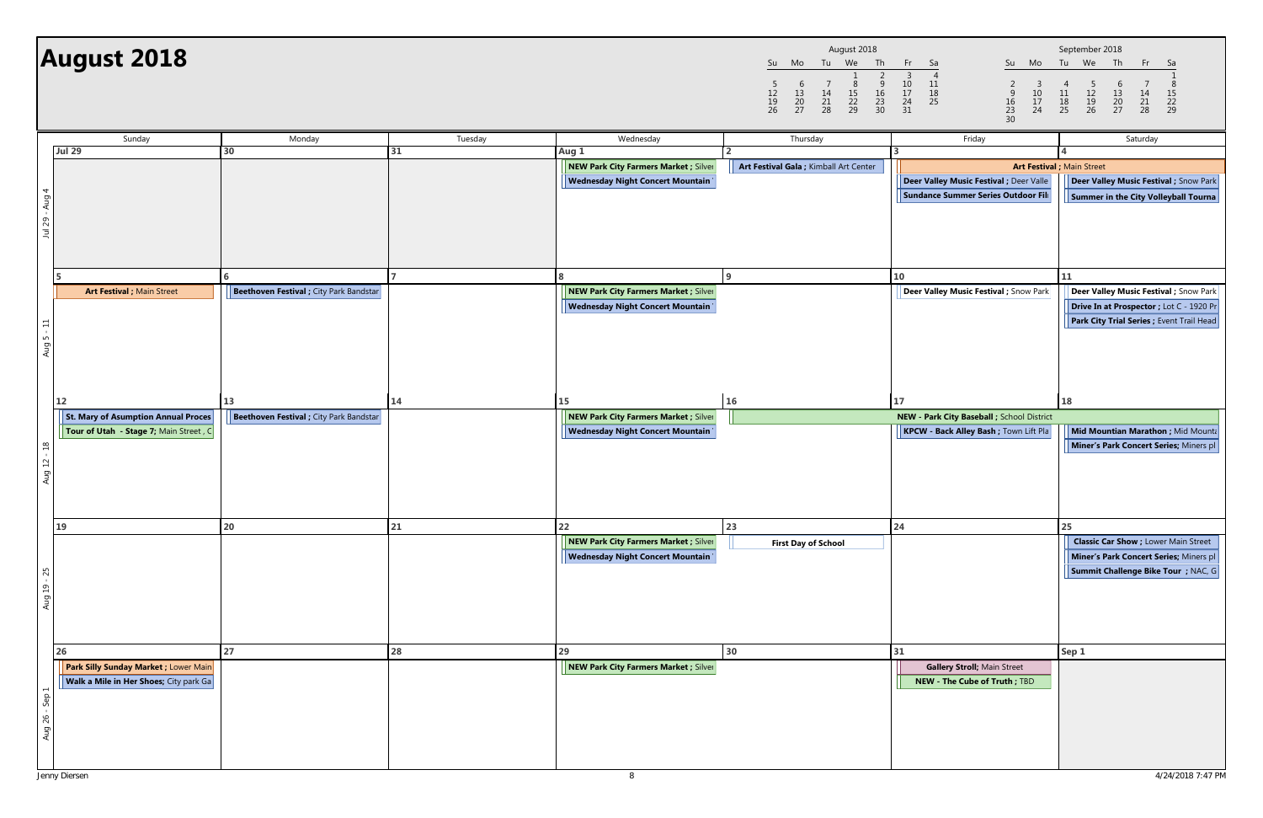|                     |                     |                | August 2018         |                          |                           |
|---------------------|---------------------|----------------|---------------------|--------------------------|---------------------------|
| Su                  | Mo                  | Tu             | We                  | Th                       | Fr                        |
| 5<br>12<br>19<br>26 | 6<br>13<br>20<br>27 | 14<br>21<br>28 | 8<br>15<br>22<br>29 | 2<br>9<br>16<br>23<br>30 | 3<br>10<br>17<br>24<br>31 |

|                | <b>August 2018</b>                     |                                                |              |                                                                                  | August 2018<br>Tu We Th<br>Mo<br>Su<br>$\frac{2}{9}$<br>$\frac{9}{23}$<br>$\frac{23}{30}$<br>-5<br>$\begin{array}{c} 6 \\ 13 \\ 20 \\ 27 \end{array}$<br>$\frac{8}{15}$<br>22<br>29<br>$\frac{14}{21}$<br>28<br>$\frac{12}{19}$ | Fr 1<br>Sa<br>Su Mo<br>$\overline{4}$<br>$\frac{10}{17}$<br>$\frac{24}{31}$<br>$\begin{array}{c} 11 \\ 18 \\ 25 \end{array}$<br>$\overline{2}$<br>$\begin{array}{c} 3 \\ 10 \\ 17 \\ 24 \end{array}$<br>$\frac{9}{16}$<br>$\frac{16}{23}$<br>$\frac{23}{30}$ | September 2018<br>Tu We Th<br>$-Fr$<br>- Sa<br>$\begin{array}{c} 5 \\ 12 \\ 19 \\ 26 \end{array}$<br>$\overline{4}$<br>$\begin{array}{c} 6 \\ 13 \\ 20 \\ 27 \end{array}$<br>$\frac{11}{18}$<br>25<br>$\begin{array}{c} 14 \\ 21 \\ 28 \end{array}$<br>$\frac{15}{22}$<br>29 |
|----------------|----------------------------------------|------------------------------------------------|--------------|----------------------------------------------------------------------------------|---------------------------------------------------------------------------------------------------------------------------------------------------------------------------------------------------------------------------------|--------------------------------------------------------------------------------------------------------------------------------------------------------------------------------------------------------------------------------------------------------------|------------------------------------------------------------------------------------------------------------------------------------------------------------------------------------------------------------------------------------------------------------------------------|
|                | Sunday                                 | Monday                                         | Tuesday      | Wednesday                                                                        | Thursday                                                                                                                                                                                                                        | Friday                                                                                                                                                                                                                                                       | Saturday                                                                                                                                                                                                                                                                     |
|                | <b>Jul 29</b>                          | 30                                             | 31           | Aug 1                                                                            |                                                                                                                                                                                                                                 |                                                                                                                                                                                                                                                              |                                                                                                                                                                                                                                                                              |
|                |                                        |                                                |              | NEW Park City Farmers Market ; Silver                                            | Art Festival Gala ; Kimball Art Center                                                                                                                                                                                          |                                                                                                                                                                                                                                                              | Art Festival ; Main Street                                                                                                                                                                                                                                                   |
|                |                                        |                                                |              | <b>Wednesday Night Concert Mountain</b>                                          |                                                                                                                                                                                                                                 | Deer Valley Music Festival ; Deer Valle                                                                                                                                                                                                                      | Deer Valley Music Festival ; Snow Park                                                                                                                                                                                                                                       |
|                |                                        |                                                |              |                                                                                  |                                                                                                                                                                                                                                 | Sundance Summer Series Outdoor Fili                                                                                                                                                                                                                          | Summer in the City Volleyball Tourna                                                                                                                                                                                                                                         |
| Jul 29 - Aug 4 |                                        |                                                |              |                                                                                  |                                                                                                                                                                                                                                 |                                                                                                                                                                                                                                                              |                                                                                                                                                                                                                                                                              |
|                |                                        | 6                                              | $\mathbf{7}$ |                                                                                  |                                                                                                                                                                                                                                 | 10                                                                                                                                                                                                                                                           | 11                                                                                                                                                                                                                                                                           |
|                | Art Festival ; Main Street             | Beethoven Festival ; City Park Bandstar        |              | NEW Park City Farmers Market ; Silver                                            |                                                                                                                                                                                                                                 | <b>Deer Valley Music Festival</b> ; Snow Park                                                                                                                                                                                                                | Deer Valley Music Festival ; Snow Park                                                                                                                                                                                                                                       |
|                |                                        |                                                |              | <b>Wednesday Night Concert Mountain</b>                                          |                                                                                                                                                                                                                                 |                                                                                                                                                                                                                                                              | Drive In at Prospector ; Lot C - 1920 Pr                                                                                                                                                                                                                                     |
| $Aug 5 - 11$   |                                        |                                                |              |                                                                                  |                                                                                                                                                                                                                                 |                                                                                                                                                                                                                                                              | Park City Trial Series ; Event Trail Head                                                                                                                                                                                                                                    |
|                | 12                                     | 13                                             | 14           | 15                                                                               | 16                                                                                                                                                                                                                              | 17                                                                                                                                                                                                                                                           | 18                                                                                                                                                                                                                                                                           |
|                | St. Mary of Asumption Annual Proces    | <b>Beethoven Festival</b> ; City Park Bandstar |              | NEW Park City Farmers Market ; Silver                                            |                                                                                                                                                                                                                                 | NEW - Park City Baseball ; School District                                                                                                                                                                                                                   |                                                                                                                                                                                                                                                                              |
|                | Tour of Utah - Stage 7; Main Street, C |                                                |              | <b>Wednesday Night Concert Mountain</b>                                          |                                                                                                                                                                                                                                 | KPCW - Back Alley Bash ; Town Lift Pla                                                                                                                                                                                                                       | Mid Mountian Marathon ; Mid Mounta                                                                                                                                                                                                                                           |
|                |                                        |                                                |              |                                                                                  |                                                                                                                                                                                                                                 |                                                                                                                                                                                                                                                              | Miner's Park Concert Series; Miners pl                                                                                                                                                                                                                                       |
|                |                                        |                                                |              |                                                                                  |                                                                                                                                                                                                                                 |                                                                                                                                                                                                                                                              |                                                                                                                                                                                                                                                                              |
| Aug $12 - 18$  |                                        |                                                |              |                                                                                  |                                                                                                                                                                                                                                 |                                                                                                                                                                                                                                                              |                                                                                                                                                                                                                                                                              |
|                | 19                                     | 20                                             | 21           | 22                                                                               | 23                                                                                                                                                                                                                              | 24                                                                                                                                                                                                                                                           | 25                                                                                                                                                                                                                                                                           |
| Aug 19 - 25    |                                        |                                                |              | NEW Park City Farmers Market ; Silver<br><b>Wednesday Night Concert Mountain</b> | <b>First Day of School</b>                                                                                                                                                                                                      |                                                                                                                                                                                                                                                              | <b>Classic Car Show; Lower Main Street</b><br>Miner's Park Concert Series; Miners pl<br>Summit Challenge Bike Tour ; NAC, G                                                                                                                                                  |
|                | <b>26</b>                              | 27                                             | 28           | 29                                                                               | 30                                                                                                                                                                                                                              | 31                                                                                                                                                                                                                                                           | Sep 1                                                                                                                                                                                                                                                                        |
|                | Park Silly Sunday Market ; Lower Main  |                                                |              | NEW Park City Farmers Market ; Silver                                            |                                                                                                                                                                                                                                 | <b>Gallery Stroll; Main Street</b>                                                                                                                                                                                                                           |                                                                                                                                                                                                                                                                              |
|                | Walk a Mile in Her Shoes; City park Ga |                                                |              |                                                                                  |                                                                                                                                                                                                                                 | NEW - The Cube of Truth ; TBD                                                                                                                                                                                                                                |                                                                                                                                                                                                                                                                              |
|                |                                        |                                                |              |                                                                                  |                                                                                                                                                                                                                                 |                                                                                                                                                                                                                                                              |                                                                                                                                                                                                                                                                              |
| Aug 26 - Sep 1 |                                        |                                                |              |                                                                                  |                                                                                                                                                                                                                                 |                                                                                                                                                                                                                                                              |                                                                                                                                                                                                                                                                              |
|                |                                        |                                                |              |                                                                                  |                                                                                                                                                                                                                                 |                                                                                                                                                                                                                                                              |                                                                                                                                                                                                                                                                              |
|                |                                        |                                                |              |                                                                                  |                                                                                                                                                                                                                                 |                                                                                                                                                                                                                                                              |                                                                                                                                                                                                                                                                              |
|                |                                        |                                                |              |                                                                                  |                                                                                                                                                                                                                                 |                                                                                                                                                                                                                                                              |                                                                                                                                                                                                                                                                              |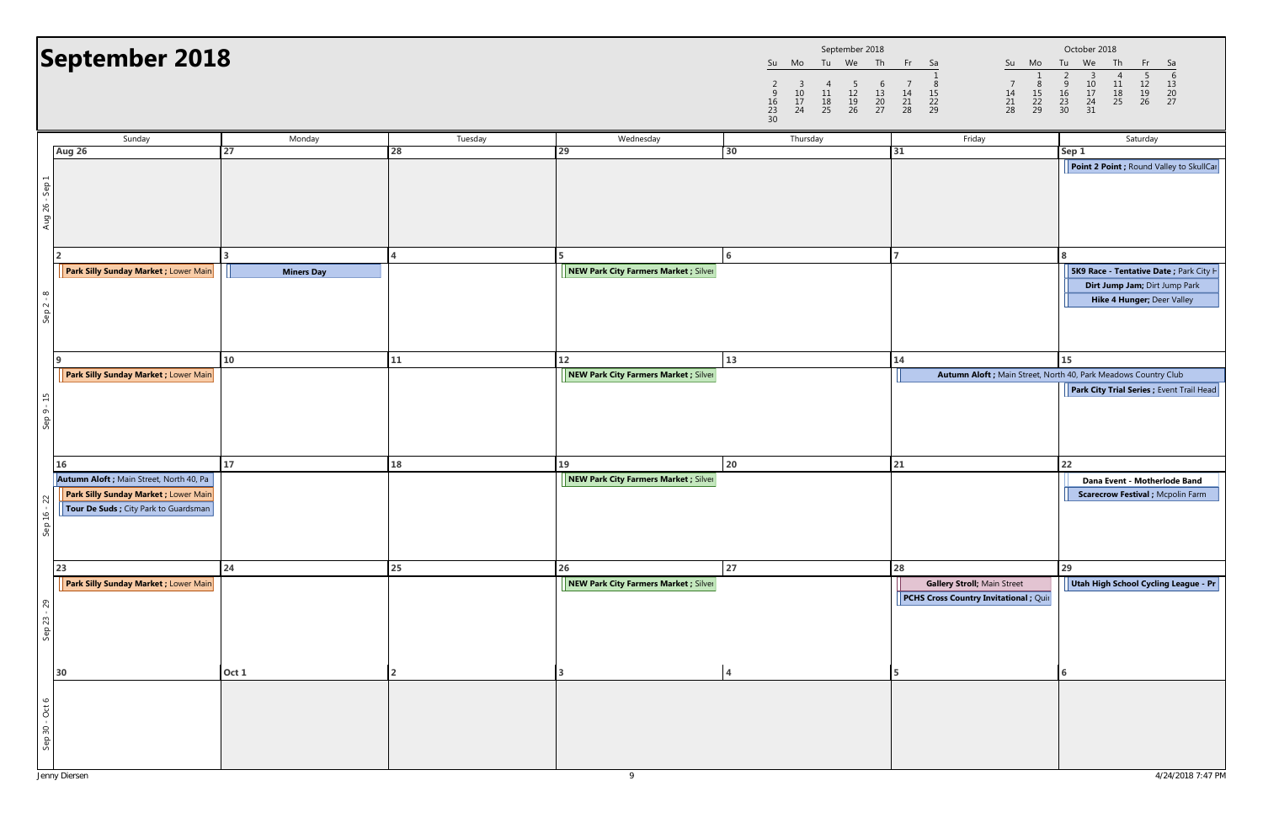

|                |                                                                                                                                          |                   |                |                                       |                                                          | September 2018                   |                                                    |                                                                                                     |                                                    |                                                                       |                                                    | October 2018                        |                                                                       |                                                                |                                                          |                                                          |
|----------------|------------------------------------------------------------------------------------------------------------------------------------------|-------------------|----------------|---------------------------------------|----------------------------------------------------------|----------------------------------|----------------------------------------------------|-----------------------------------------------------------------------------------------------------|----------------------------------------------------|-----------------------------------------------------------------------|----------------------------------------------------|-------------------------------------|-----------------------------------------------------------------------|----------------------------------------------------------------|----------------------------------------------------------|----------------------------------------------------------|
|                | September 2018                                                                                                                           |                   |                |                                       | Su<br>$\begin{array}{c} 9 \\ 16 \\ 23 \\ 30 \end{array}$ | Mo<br>3<br>$\frac{10}{17}$<br>24 | 4<br>$\begin{array}{c} 11 \\ 18 \\ 25 \end{array}$ | Tu We Th<br>$\frac{5}{12}$<br>$\frac{12}{26}$<br>$\begin{array}{c} 6 \\ 13 \\ 20 \\ 27 \end{array}$ | $\begin{array}{c} 7 \\ 14 \\ 21 \\ 28 \end{array}$ | Fr Sa<br>$\begin{array}{r} 8 \\ 15 \\ 22 \\ 29 \end{array}$           | $\begin{array}{c} 7 \\ 14 \\ 21 \\ 28 \end{array}$ | Su Mo<br>$\frac{8}{15}$<br>22<br>29 | Tu<br>$\begin{array}{c}\n 2 \\  9 \\  16 \\  23 \\  30\n \end{array}$ | We<br>$\begin{array}{c} 3 \\ 10 \\ 17 \\ 24 \\ 31 \end{array}$ | Th<br>4<br>$\begin{array}{c} 11 \\ 18 \\ 25 \end{array}$ | Fr<br>$\begin{array}{c} 5 \\ 12 \\ 19 \\ 26 \end{array}$ |
|                | Sunday                                                                                                                                   | Monday            | Tuesday        | Wednesday                             |                                                          | Thursday                         |                                                    |                                                                                                     |                                                    | Friday                                                                |                                                    |                                     |                                                                       |                                                                |                                                          | Saturday                                                 |
|                | <b>Aug 26</b>                                                                                                                            | 27                | 28             | 29                                    | 30                                                       |                                  |                                                    |                                                                                                     | 31                                                 |                                                                       |                                                    |                                     | Sep 1                                                                 |                                                                |                                                          |                                                          |
| Aug 26 - Sep 1 |                                                                                                                                          |                   |                |                                       |                                                          |                                  |                                                    |                                                                                                     |                                                    |                                                                       |                                                    |                                     |                                                                       |                                                                |                                                          | Point 2 Point ; Round                                    |
|                | $\overline{2}$                                                                                                                           |                   |                | 5.                                    | <b>6</b>                                                 |                                  |                                                    |                                                                                                     |                                                    |                                                                       |                                                    |                                     | 8                                                                     |                                                                |                                                          |                                                          |
|                | Park Silly Sunday Market ; Lower Main                                                                                                    | <b>Miners Day</b> |                | NEW Park City Farmers Market ; Silver |                                                          |                                  |                                                    |                                                                                                     |                                                    |                                                                       |                                                    |                                     |                                                                       |                                                                |                                                          | <b>5K9 Race - Tentative D</b>                            |
|                |                                                                                                                                          |                   |                |                                       |                                                          |                                  |                                                    |                                                                                                     |                                                    |                                                                       |                                                    |                                     |                                                                       |                                                                |                                                          | Dirt Jump Jam; Dir                                       |
| Sep $2 - 8$    |                                                                                                                                          |                   |                |                                       |                                                          |                                  |                                                    |                                                                                                     |                                                    |                                                                       |                                                    |                                     |                                                                       |                                                                |                                                          | Hike 4 Hunger; D                                         |
|                | 9                                                                                                                                        | 10                | 11             | 12                                    | 13                                                       |                                  |                                                    |                                                                                                     | 14                                                 |                                                                       |                                                    |                                     | 15                                                                    |                                                                |                                                          |                                                          |
|                | Park Silly Sunday Market ; Lower Main                                                                                                    |                   |                | NEW Park City Farmers Market ; Silver |                                                          |                                  |                                                    |                                                                                                     |                                                    | Autumn Aloft ; Main Street, North 40, Park Meadows Count              |                                                    |                                     |                                                                       |                                                                |                                                          |                                                          |
| $Sep 9 - 15$   |                                                                                                                                          |                   |                |                                       |                                                          |                                  |                                                    |                                                                                                     |                                                    |                                                                       |                                                    |                                     |                                                                       |                                                                |                                                          | <b>Park City Trial Series;</b>                           |
|                | <b>16</b>                                                                                                                                | 17                | 18             | 19                                    | 20                                                       |                                  |                                                    |                                                                                                     | 21                                                 |                                                                       |                                                    |                                     | 22                                                                    |                                                                |                                                          |                                                          |
| 22<br>Sep 16 - | <b>Autumn Aloft</b> ; Main Street, North 40, Pa<br><b>Park Silly Sunday Market ; Lower Main</b><br>Tour De Suds ; City Park to Guardsman |                   |                | NEW Park City Farmers Market ; Silver |                                                          |                                  |                                                    |                                                                                                     |                                                    |                                                                       |                                                    |                                     |                                                                       |                                                                |                                                          | Dana Event - Mothe<br><b>Scarecrow Festival;</b>         |
|                | 23                                                                                                                                       | 24                | 25             | 26                                    | 27                                                       |                                  |                                                    |                                                                                                     | 28                                                 |                                                                       |                                                    |                                     | 29                                                                    |                                                                |                                                          |                                                          |
| Sep 23 - 29    | Park Silly Sunday Market ; Lower Main                                                                                                    |                   |                | NEW Park City Farmers Market ; Silver |                                                          |                                  |                                                    |                                                                                                     |                                                    | Gallery Stroll; Main Street<br>PCHS Cross Country Invitational ; Quir |                                                    |                                     |                                                                       |                                                                |                                                          | Utah High School Cycl                                    |
|                | 30                                                                                                                                       | Oct 1             | $\overline{2}$ | 3                                     | $\overline{4}$                                           |                                  |                                                    |                                                                                                     | 5                                                  |                                                                       |                                                    |                                     | 6                                                                     |                                                                |                                                          |                                                          |
| Sep 30 - Oct 6 |                                                                                                                                          |                   |                |                                       |                                                          |                                  |                                                    |                                                                                                     |                                                    |                                                                       |                                                    |                                     |                                                                       |                                                                |                                                          |                                                          |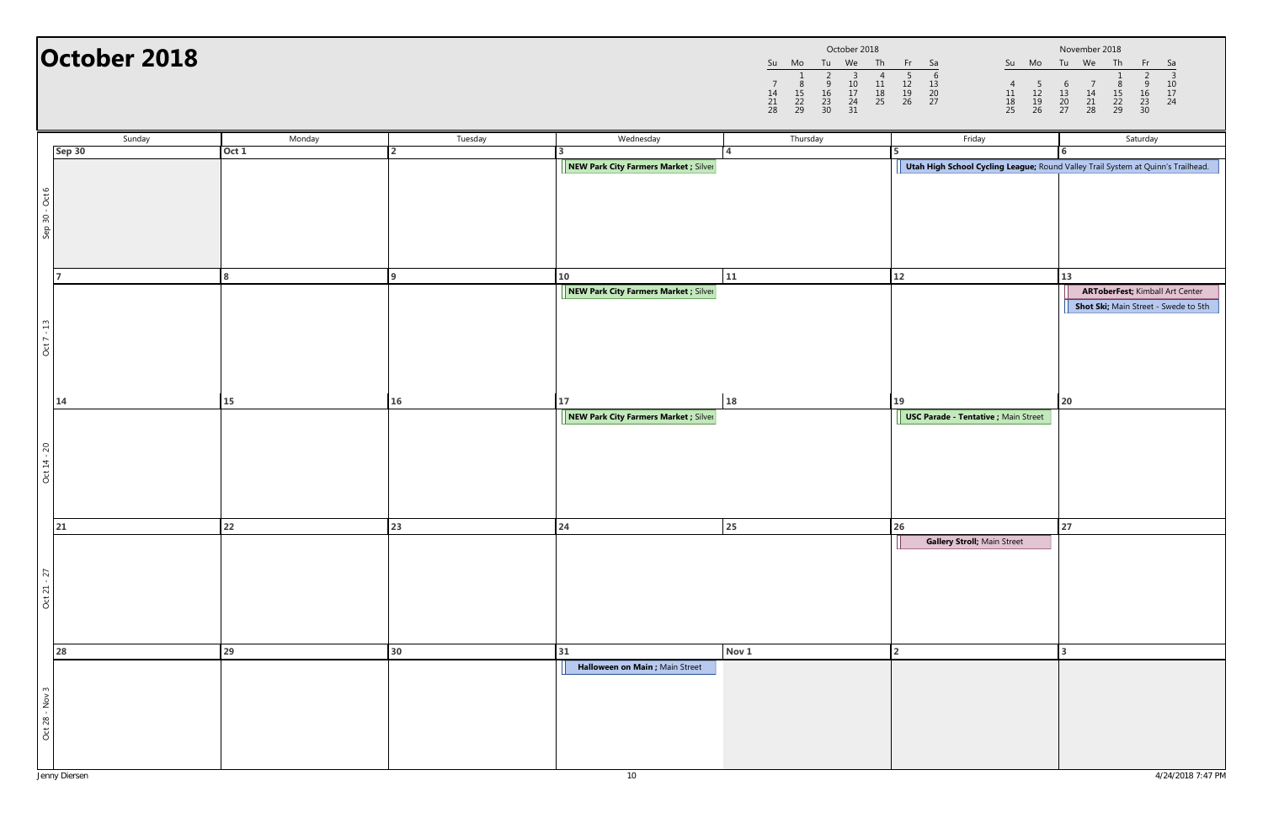|                |                     |                     | October 2018              |                |                |
|----------------|---------------------|---------------------|---------------------------|----------------|----------------|
| Su             | Mo                  | Tu                  | We                        | Th             | Fr             |
| 14<br>21<br>28 | 8<br>15<br>22<br>29 | q<br>16<br>23<br>30 | З<br>10<br>17<br>24<br>31 | 11<br>18<br>25 | 12<br>19<br>26 |

|                   | October 2018 |        |              |                                       |       | October 2018<br>Tu We<br>Th<br>Su Mo<br>2<br>$\begin{array}{c} 3 \\ 10 \\ 17 \\ 24 \\ 31 \end{array}$<br>$\begin{array}{c} 4 \\ 11 \\ 18 \\ 25 \end{array}$<br>$\begin{array}{c} 1 \\ 8 \\ 15 \\ 22 \\ 29 \end{array}$<br>$\frac{9}{16}$<br>$\frac{23}{30}$<br>$\frac{14}{21}$<br>28 | $-$ Fr $\geq$<br>Sa<br>$\overline{4}$<br>$\begin{array}{c} 5 \\ 12 \\ 19 \\ 26 \end{array}$<br>$\begin{array}{c} 11 \\ 18 \\ 25 \end{array}$ | November 2018<br>Su Mo Tu We Th<br>- Sa<br>- Fr<br>$\begin{array}{c} 3 \\ 10 \\ 17 \\ 24 \end{array}$<br>$\begin{array}{c} 6 \\ 13 \\ 20 \\ 27 \end{array}$<br>$\begin{array}{c} 7 \\ 14 \\ 21 \\ 28 \end{array}$<br>$815$<br>$22$<br>$29$<br>$\begin{array}{c}\n 9 \\  16 \\  23 \\  30\n\end{array}$ |
|-------------------|--------------|--------|--------------|---------------------------------------|-------|--------------------------------------------------------------------------------------------------------------------------------------------------------------------------------------------------------------------------------------------------------------------------------------|----------------------------------------------------------------------------------------------------------------------------------------------|--------------------------------------------------------------------------------------------------------------------------------------------------------------------------------------------------------------------------------------------------------------------------------------------------------|
|                   | Sunday       | Monday | Tuesday      | Wednesday                             |       | Thursday                                                                                                                                                                                                                                                                             | Friday                                                                                                                                       | Saturday                                                                                                                                                                                                                                                                                               |
| Sep 30            |              | Oct 1  |              | NEW Park City Farmers Market ; Silver |       |                                                                                                                                                                                                                                                                                      | Utah High School Cycling League; Round Valley Trail System at Quinn's Trailhead.                                                             |                                                                                                                                                                                                                                                                                                        |
| Sep 30 - Oct 6    |              |        |              |                                       |       |                                                                                                                                                                                                                                                                                      |                                                                                                                                              |                                                                                                                                                                                                                                                                                                        |
| $\overline{ }$    |              |        | $\mathbf{a}$ | 10                                    | 11    |                                                                                                                                                                                                                                                                                      | 12                                                                                                                                           | 13                                                                                                                                                                                                                                                                                                     |
| $Oct 7 - 13$      |              |        |              | NEW Park City Farmers Market ; Silver |       |                                                                                                                                                                                                                                                                                      |                                                                                                                                              | <b>ARToberFest; Kimball Art Center</b><br>Shot Ski; Main Street - Swede to 5th                                                                                                                                                                                                                         |
| 14                |              | 15     | 16           | 17                                    | 18    |                                                                                                                                                                                                                                                                                      | 19                                                                                                                                           | 20                                                                                                                                                                                                                                                                                                     |
| Oct 14 - 20       |              |        |              | NEW Park City Farmers Market ; Silver |       |                                                                                                                                                                                                                                                                                      | <b>USC Parade - Tentative ; Main Street</b>                                                                                                  |                                                                                                                                                                                                                                                                                                        |
| 21                |              | 22     | 23           | 24                                    | 25    |                                                                                                                                                                                                                                                                                      | 26                                                                                                                                           | 27                                                                                                                                                                                                                                                                                                     |
| Oct 21 - 27<br>28 |              | 29     | 30           | 31                                    | Nov 1 |                                                                                                                                                                                                                                                                                      | Gallery Stroll; Main Street                                                                                                                  |                                                                                                                                                                                                                                                                                                        |
|                   |              |        |              | Halloween on Main ; Main Street       |       |                                                                                                                                                                                                                                                                                      |                                                                                                                                              |                                                                                                                                                                                                                                                                                                        |
| Oct 28 - Nov 3    |              |        |              |                                       |       |                                                                                                                                                                                                                                                                                      |                                                                                                                                              |                                                                                                                                                                                                                                                                                                        |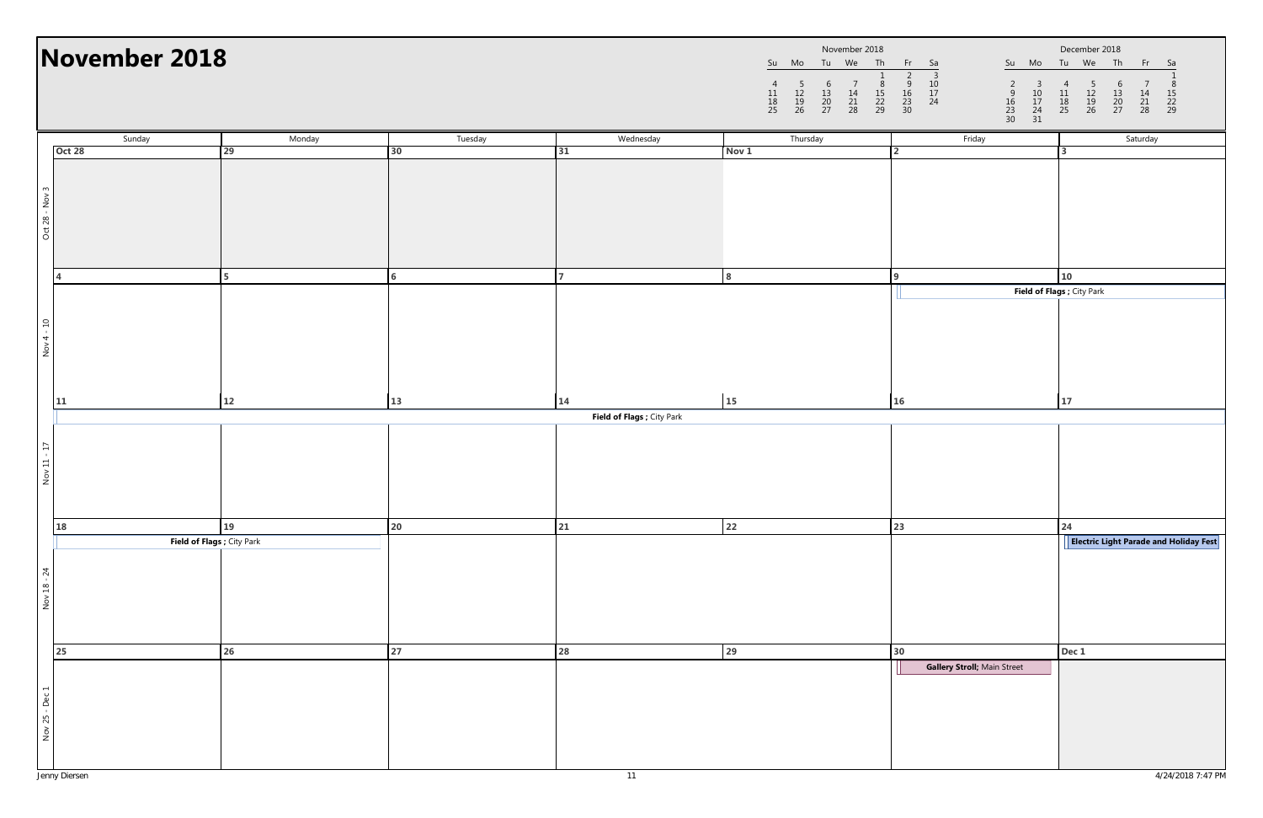|                |                     |                     | November 2018  |                     |                     |
|----------------|---------------------|---------------------|----------------|---------------------|---------------------|
| Su             | Mo                  | Tu                  | We             | Th                  | Fr                  |
| 11<br>18<br>25 | 5<br>12<br>19<br>26 | 6<br>13<br>20<br>27 | 14<br>21<br>28 | 8<br>15<br>22<br>29 | q<br>16<br>23<br>30 |

|                | November 2018              |        |                 |                            | November 2018<br>Su Mo Tu We Th<br>$\frac{8}{15}$<br>$\frac{22}{29}$<br>$\begin{array}{c} 7 \\ 14 \\ 21 \\ 28 \end{array}$<br>$\begin{array}{c} 5 \\ 12 \\ 19 \\ 26 \end{array}$<br>$\begin{array}{c} 6 \\ 13 \\ 20 \\ 27 \end{array}$<br>$\begin{array}{c} 11 \\ 18 \\ 25 \end{array}$ | Fr Sa<br>Su Mo<br>$\begin{array}{@{}ll} \hline 2 & 3 \\ 9 & 10 \\ 16 & 17 \\ 23 & 24 \\ 30 & \hline \end{array}$<br>$\begin{array}{c} 3 \\ 10 \\ 17 \\ 24 \\ 31 \end{array}$<br>$\frac{9}{16}$<br>$\frac{16}{23}$<br>$\frac{23}{30}$ | December 2018<br>Tu We Th<br>Fr 1<br>Sa<br>$\frac{5}{12}$<br>$\frac{12}{26}$<br>$\begin{array}{c} 4 \\ 11 \\ 18 \\ 25 \end{array}$<br>$\begin{array}{c} 6 \\ 13 \\ 20 \\ 27 \end{array}$<br>$\begin{array}{c} 14 \\ 21 \\ 28 \end{array}$<br>$\frac{15}{22}$<br>22<br>29 |  |
|----------------|----------------------------|--------|-----------------|----------------------------|-----------------------------------------------------------------------------------------------------------------------------------------------------------------------------------------------------------------------------------------------------------------------------------------|--------------------------------------------------------------------------------------------------------------------------------------------------------------------------------------------------------------------------------------|--------------------------------------------------------------------------------------------------------------------------------------------------------------------------------------------------------------------------------------------------------------------------|--|
|                | Sunday                     | Monday | Tuesday         | Wednesday                  | Thursday                                                                                                                                                                                                                                                                                | Friday                                                                                                                                                                                                                               | Saturday                                                                                                                                                                                                                                                                 |  |
|                | <b>Oct 28</b>              | 29     | 30 <sub>o</sub> | 31                         | Nov 1                                                                                                                                                                                                                                                                                   | $\mathcal{P}$                                                                                                                                                                                                                        |                                                                                                                                                                                                                                                                          |  |
| Oct 28 - Nov 3 |                            |        |                 |                            |                                                                                                                                                                                                                                                                                         |                                                                                                                                                                                                                                      |                                                                                                                                                                                                                                                                          |  |
|                |                            | 5.     | 6               |                            |                                                                                                                                                                                                                                                                                         | q                                                                                                                                                                                                                                    | 10                                                                                                                                                                                                                                                                       |  |
|                |                            |        |                 |                            |                                                                                                                                                                                                                                                                                         |                                                                                                                                                                                                                                      | Field of Flags ; City Park                                                                                                                                                                                                                                               |  |
| Nov 4 - 10     |                            |        |                 |                            |                                                                                                                                                                                                                                                                                         |                                                                                                                                                                                                                                      |                                                                                                                                                                                                                                                                          |  |
|                | 11                         | 12     | 13              | 14                         | 15                                                                                                                                                                                                                                                                                      | 16                                                                                                                                                                                                                                   | 17                                                                                                                                                                                                                                                                       |  |
|                |                            |        |                 | Field of Flags ; City Park |                                                                                                                                                                                                                                                                                         |                                                                                                                                                                                                                                      |                                                                                                                                                                                                                                                                          |  |
| Nov 11 - 17    |                            |        |                 |                            |                                                                                                                                                                                                                                                                                         |                                                                                                                                                                                                                                      |                                                                                                                                                                                                                                                                          |  |
|                | 18                         | 19     | 20              | 21                         | 22                                                                                                                                                                                                                                                                                      | 23                                                                                                                                                                                                                                   | 24                                                                                                                                                                                                                                                                       |  |
|                | Field of Flags ; City Park |        |                 |                            |                                                                                                                                                                                                                                                                                         |                                                                                                                                                                                                                                      | <b>Electric Light Parade and Holiday Fest</b>                                                                                                                                                                                                                            |  |
| Nov 18 - 24    | 25                         | 26     | 27              | 28                         | 29                                                                                                                                                                                                                                                                                      | 30                                                                                                                                                                                                                                   | Dec 1                                                                                                                                                                                                                                                                    |  |
|                |                            |        |                 |                            |                                                                                                                                                                                                                                                                                         | Gallery Stroll; Main Street                                                                                                                                                                                                          |                                                                                                                                                                                                                                                                          |  |
| Nov 25 - Dec 1 |                            |        |                 |                            |                                                                                                                                                                                                                                                                                         |                                                                                                                                                                                                                                      |                                                                                                                                                                                                                                                                          |  |